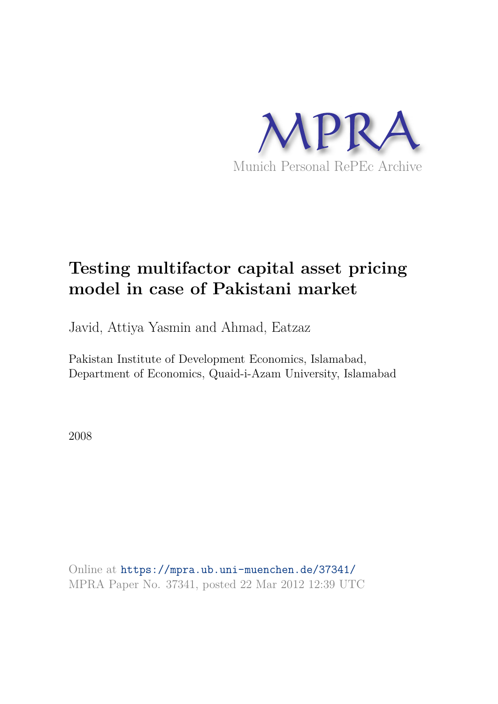

# **Testing multifactor capital asset pricing model in case of Pakistani market**

Javid, Attiya Yasmin and Ahmad, Eatzaz

Pakistan Institute of Development Economics, Islamabad, Department of Economics, Quaid-i-Azam University, Islamabad

2008

Online at https://mpra.ub.uni-muenchen.de/37341/ MPRA Paper No. 37341, posted 22 Mar 2012 12:39 UTC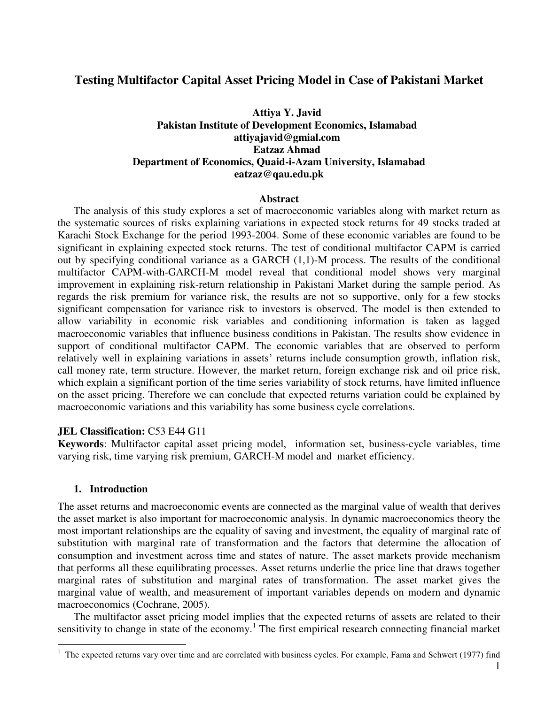# **Testing Multifactor Capital Asset Pricing Model in Case of Pakistani Market**

# **Attiya Y. Javid Pakistan Institute of Development Economics, Islamabad attiyajavid@gmial.com Eatzaz Ahmad Department of Economics, Quaid-i-Azam University, Islamabad eatzaz@qau.edu.pk**

#### **Abstract**

The analysis of this study explores a set of macroeconomic variables along with market return as the systematic sources of risks explaining variations in expected stock returns for 49 stocks traded at Karachi Stock Exchange for the period 1993-2004. Some of these economic variables are found to be significant in explaining expected stock returns. The test of conditional multifactor CAPM is carried out by specifying conditional variance as a GARCH (1,1)-M process. The results of the conditional multifactor CAPM-with-GARCH-M model reveal that conditional model shows very marginal improvement in explaining risk-return relationship in Pakistani Market during the sample period. As regards the risk premium for variance risk, the results are not so supportive, only for a few stocks significant compensation for variance risk to investors is observed. The model is then extended to allow variability in economic risk variables and conditioning information is taken as lagged macroeconomic variables that influence business conditions in Pakistan. The results show evidence in support of conditional multifactor CAPM. The economic variables that are observed to perform relatively well in explaining variations in assets' returns include consumption growth, inflation risk, call money rate, term structure. However, the market return, foreign exchange risk and oil price risk, which explain a significant portion of the time series variability of stock returns, have limited influence on the asset pricing. Therefore we can conclude that expected returns variation could be explained by macroeconomic variations and this variability has some business cycle correlations.

### **JEL Classification:** C53 E44 G11

**Keywords**: Multifactor capital asset pricing model, information set, business-cycle variables, time varying risk, time varying risk premium, GARCH-M model and market efficiency.

### **1. Introduction**

 $\overline{a}$ 

The asset returns and macroeconomic events are connected as the marginal value of wealth that derives the asset market is also important for macroeconomic analysis. In dynamic macroeconomics theory the most important relationships are the equality of saving and investment, the equality of marginal rate of substitution with marginal rate of transformation and the factors that determine the allocation of consumption and investment across time and states of nature. The asset markets provide mechanism that performs all these equilibrating processes. Asset returns underlie the price line that draws together marginal rates of substitution and marginal rates of transformation. The asset market gives the marginal value of wealth, and measurement of important variables depends on modern and dynamic macroeconomics (Cochrane, 2005).

The multifactor asset pricing model implies that the expected returns of assets are related to their sensitivity to change in state of the economy.<sup>1</sup> The first empirical research connecting financial market

<sup>&</sup>lt;sup>1</sup> The expected returns vary over time and are correlated with business cycles. For example, Fama and Schwert (1977) find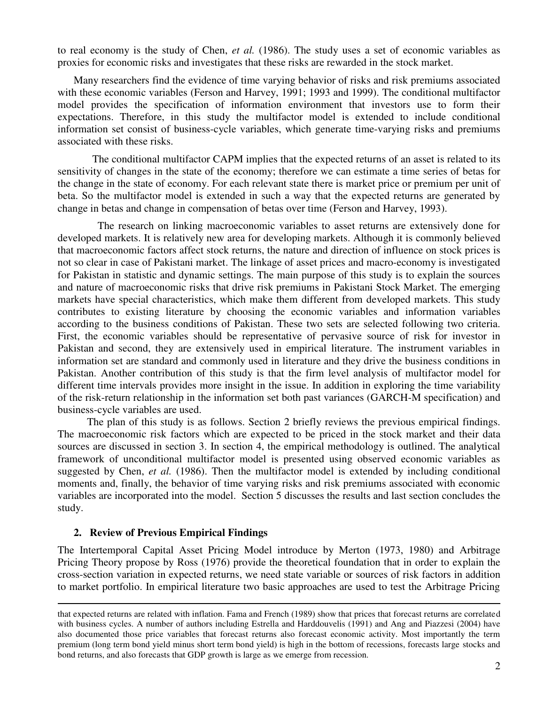to real economy is the study of Chen, *et al.* (1986). The study uses a set of economic variables as proxies for economic risks and investigates that these risks are rewarded in the stock market.

Many researchers find the evidence of time varying behavior of risks and risk premiums associated with these economic variables (Ferson and Harvey, 1991; 1993 and 1999). The conditional multifactor model provides the specification of information environment that investors use to form their expectations. Therefore, in this study the multifactor model is extended to include conditional information set consist of business-cycle variables, which generate time-varying risks and premiums associated with these risks.

 The conditional multifactor CAPM implies that the expected returns of an asset is related to its sensitivity of changes in the state of the economy; therefore we can estimate a time series of betas for the change in the state of economy. For each relevant state there is market price or premium per unit of beta. So the multifactor model is extended in such a way that the expected returns are generated by change in betas and change in compensation of betas over time (Ferson and Harvey, 1993).

 The research on linking macroeconomic variables to asset returns are extensively done for developed markets. It is relatively new area for developing markets. Although it is commonly believed that macroeconomic factors affect stock returns, the nature and direction of influence on stock prices is not so clear in case of Pakistani market. The linkage of asset prices and macro-economy is investigated for Pakistan in statistic and dynamic settings. The main purpose of this study is to explain the sources and nature of macroeconomic risks that drive risk premiums in Pakistani Stock Market. The emerging markets have special characteristics, which make them different from developed markets. This study contributes to existing literature by choosing the economic variables and information variables according to the business conditions of Pakistan. These two sets are selected following two criteria. First, the economic variables should be representative of pervasive source of risk for investor in Pakistan and second, they are extensively used in empirical literature. The instrument variables in information set are standard and commonly used in literature and they drive the business conditions in Pakistan. Another contribution of this study is that the firm level analysis of multifactor model for different time intervals provides more insight in the issue. In addition in exploring the time variability of the risk-return relationship in the information set both past variances (GARCH-M specification) and business-cycle variables are used.

 The plan of this study is as follows. Section 2 briefly reviews the previous empirical findings. The macroeconomic risk factors which are expected to be priced in the stock market and their data sources are discussed in section 3. In section 4, the empirical methodology is outlined. The analytical framework of unconditional multifactor model is presented using observed economic variables as suggested by Chen, *et al.* (1986). Then the multifactor model is extended by including conditional moments and, finally, the behavior of time varying risks and risk premiums associated with economic variables are incorporated into the model. Section 5 discusses the results and last section concludes the study.

### **2. Review of Previous Empirical Findings**

<u>.</u>

The Intertemporal Capital Asset Pricing Model introduce by Merton (1973, 1980) and Arbitrage Pricing Theory propose by Ross (1976) provide the theoretical foundation that in order to explain the cross-section variation in expected returns, we need state variable or sources of risk factors in addition to market portfolio. In empirical literature two basic approaches are used to test the Arbitrage Pricing

that expected returns are related with inflation. Fama and French (1989) show that prices that forecast returns are correlated with business cycles. A number of authors including Estrella and Harddouvelis (1991) and Ang and Piazzesi (2004) have also documented those price variables that forecast returns also forecast economic activity. Most importantly the term premium (long term bond yield minus short term bond yield) is high in the bottom of recessions, forecasts large stocks and bond returns, and also forecasts that GDP growth is large as we emerge from recession.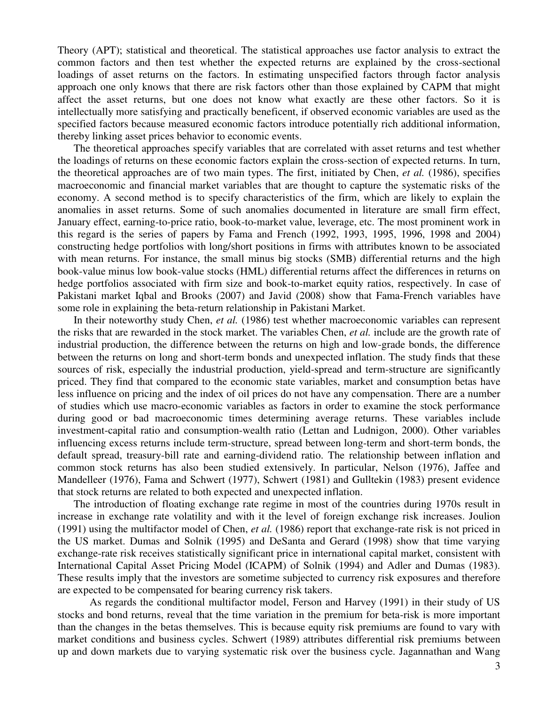Theory (APT); statistical and theoretical. The statistical approaches use factor analysis to extract the common factors and then test whether the expected returns are explained by the cross-sectional loadings of asset returns on the factors. In estimating unspecified factors through factor analysis approach one only knows that there are risk factors other than those explained by CAPM that might affect the asset returns, but one does not know what exactly are these other factors. So it is intellectually more satisfying and practically beneficent, if observed economic variables are used as the specified factors because measured economic factors introduce potentially rich additional information, thereby linking asset prices behavior to economic events.

The theoretical approaches specify variables that are correlated with asset returns and test whether the loadings of returns on these economic factors explain the cross-section of expected returns. In turn, the theoretical approaches are of two main types. The first, initiated by Chen, *et al.* (1986), specifies macroeconomic and financial market variables that are thought to capture the systematic risks of the economy. A second method is to specify characteristics of the firm, which are likely to explain the anomalies in asset returns. Some of such anomalies documented in literature are small firm effect, January effect, earning-to-price ratio, book-to-market value, leverage, etc. The most prominent work in this regard is the series of papers by Fama and French (1992, 1993, 1995, 1996, 1998 and 2004) constructing hedge portfolios with long/short positions in firms with attributes known to be associated with mean returns. For instance, the small minus big stocks (SMB) differential returns and the high book-value minus low book-value stocks (HML) differential returns affect the differences in returns on hedge portfolios associated with firm size and book-to-market equity ratios, respectively. In case of Pakistani market Iqbal and Brooks (2007) and Javid (2008) show that Fama-French variables have some role in explaining the beta-return relationship in Pakistani Market.

In their noteworthy study Chen, *et al.* (1986) test whether macroeconomic variables can represent the risks that are rewarded in the stock market. The variables Chen, *et al.* include are the growth rate of industrial production, the difference between the returns on high and low-grade bonds, the difference between the returns on long and short-term bonds and unexpected inflation. The study finds that these sources of risk, especially the industrial production, yield-spread and term-structure are significantly priced. They find that compared to the economic state variables, market and consumption betas have less influence on pricing and the index of oil prices do not have any compensation. There are a number of studies which use macro-economic variables as factors in order to examine the stock performance during good or bad macroeconomic times determining average returns. These variables include investment-capital ratio and consumption-wealth ratio (Lettan and Ludnigon, 2000). Other variables influencing excess returns include term-structure, spread between long-term and short-term bonds, the default spread, treasury-bill rate and earning-dividend ratio. The relationship between inflation and common stock returns has also been studied extensively. In particular, Nelson (1976), Jaffee and Mandelleer (1976), Fama and Schwert (1977), Schwert (1981) and Gulltekin (1983) present evidence that stock returns are related to both expected and unexpected inflation.

The introduction of floating exchange rate regime in most of the countries during 1970s result in increase in exchange rate volatility and with it the level of foreign exchange risk increases. Joulion (1991) using the multifactor model of Chen, *et al.* (1986) report that exchange-rate risk is not priced in the US market. Dumas and Solnik (1995) and DeSanta and Gerard (1998) show that time varying exchange-rate risk receives statistically significant price in international capital market, consistent with International Capital Asset Pricing Model (ICAPM) of Solnik (1994) and Adler and Dumas (1983). These results imply that the investors are sometime subjected to currency risk exposures and therefore are expected to be compensated for bearing currency risk takers.

 As regards the conditional multifactor model, Ferson and Harvey (1991) in their study of US stocks and bond returns, reveal that the time variation in the premium for beta-risk is more important than the changes in the betas themselves. This is because equity risk premiums are found to vary with market conditions and business cycles. Schwert (1989) attributes differential risk premiums between up and down markets due to varying systematic risk over the business cycle. Jagannathan and Wang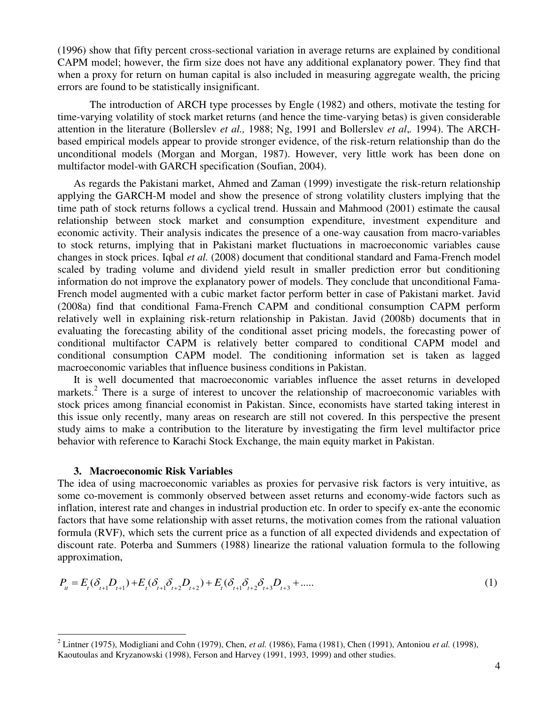(1996) show that fifty percent cross-sectional variation in average returns are explained by conditional CAPM model; however, the firm size does not have any additional explanatory power. They find that when a proxy for return on human capital is also included in measuring aggregate wealth, the pricing errors are found to be statistically insignificant.

 The introduction of ARCH type processes by Engle (1982) and others, motivate the testing for time-varying volatility of stock market returns (and hence the time-varying betas) is given considerable attention in the literature (Bollerslev *et al.,* 1988; Ng, 1991 and Bollerslev *et al*,*.* 1994). The ARCHbased empirical models appear to provide stronger evidence, of the risk-return relationship than do the unconditional models (Morgan and Morgan, 1987). However, very little work has been done on multifactor model-with GARCH specification (Soufian, 2004).

As regards the Pakistani market, Ahmed and Zaman (1999) investigate the risk-return relationship applying the GARCH-M model and show the presence of strong volatility clusters implying that the time path of stock returns follows a cyclical trend. Hussain and Mahmood (2001) estimate the causal relationship between stock market and consumption expenditure, investment expenditure and economic activity. Their analysis indicates the presence of a one-way causation from macro-variables to stock returns, implying that in Pakistani market fluctuations in macroeconomic variables cause changes in stock prices. Iqbal *et al.* (2008) document that conditional standard and Fama-French model scaled by trading volume and dividend yield result in smaller prediction error but conditioning information do not improve the explanatory power of models. They conclude that unconditional Fama-French model augmented with a cubic market factor perform better in case of Pakistani market. Javid (2008a) find that conditional Fama-French CAPM and conditional consumption CAPM perform relatively well in explaining risk-return relationship in Pakistan. Javid (2008b) documents that in evaluating the forecasting ability of the conditional asset pricing models, the forecasting power of conditional multifactor CAPM is relatively better compared to conditional CAPM model and conditional consumption CAPM model. The conditioning information set is taken as lagged macroeconomic variables that influence business conditions in Pakistan.

It is well documented that macroeconomic variables influence the asset returns in developed markets.<sup>2</sup> There is a surge of interest to uncover the relationship of macroeconomic variables with stock prices among financial economist in Pakistan. Since, economists have started taking interest in this issue only recently, many areas on research are still not covered. In this perspective the present study aims to make a contribution to the literature by investigating the firm level multifactor price behavior with reference to Karachi Stock Exchange, the main equity market in Pakistan.

## **3. Macroeconomic Risk Variables**

The idea of using macroeconomic variables as proxies for pervasive risk factors is very intuitive, as some co-movement is commonly observed between asset returns and economy-wide factors such as inflation, interest rate and changes in industrial production etc. In order to specify ex-ante the economic factors that have some relationship with asset returns, the motivation comes from the rational valuation formula (RVF), which sets the current price as a function of all expected dividends and expectation of discount rate. Poterba and Summers (1988) linearize the rational valuation formula to the following approximation,

$$
P_{it} = E_t(\delta_{t+1}D_{t+1}) + E_t(\delta_{t+1}\delta_{t+2}D_{t+2}) + E_t(\delta_{t+1}\delta_{t+2}\delta_{t+3}D_{t+3} + \dots
$$
 (1)

 2 Lintner (1975), Modigliani and Cohn (1979), Chen, *et al.* (1986), Fama (1981), Chen (1991), Antoniou *et al.* (1998), Kaoutoulas and Kryzanowski (1998), Ferson and Harvey (1991, 1993, 1999) and other studies.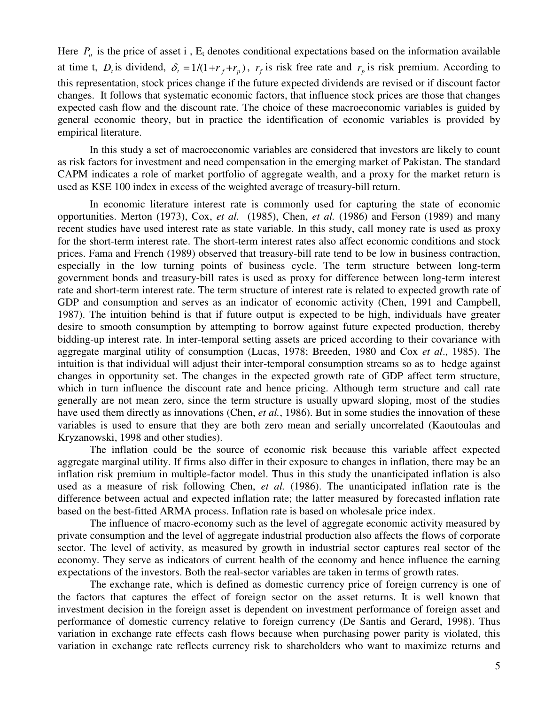Here  $P_{it}$  is the price of asset i,  $E_t$  denotes conditional expectations based on the information available at time t,  $D_t$  is dividend,  $\delta_t = 1/(1 + r_f + r_p)$ ,  $r_f$  is risk free rate and  $r_p$  is risk premium. According to this representation, stock prices change if the future expected dividends are revised or if discount factor changes. It follows that systematic economic factors, that influence stock prices are those that changes expected cash flow and the discount rate. The choice of these macroeconomic variables is guided by general economic theory, but in practice the identification of economic variables is provided by empirical literature.

In this study a set of macroeconomic variables are considered that investors are likely to count as risk factors for investment and need compensation in the emerging market of Pakistan. The standard CAPM indicates a role of market portfolio of aggregate wealth, and a proxy for the market return is used as KSE 100 index in excess of the weighted average of treasury-bill return.

In economic literature interest rate is commonly used for capturing the state of economic opportunities. Merton (1973), Cox, *et al.* (1985), Chen, *et al.* (1986) and Ferson (1989) and many recent studies have used interest rate as state variable. In this study, call money rate is used as proxy for the short-term interest rate. The short-term interest rates also affect economic conditions and stock prices. Fama and French (1989) observed that treasury-bill rate tend to be low in business contraction, especially in the low turning points of business cycle. The term structure between long-term government bonds and treasury-bill rates is used as proxy for difference between long-term interest rate and short-term interest rate. The term structure of interest rate is related to expected growth rate of GDP and consumption and serves as an indicator of economic activity (Chen, 1991 and Campbell, 1987). The intuition behind is that if future output is expected to be high, individuals have greater desire to smooth consumption by attempting to borrow against future expected production, thereby bidding-up interest rate. In inter-temporal setting assets are priced according to their covariance with aggregate marginal utility of consumption (Lucas, 1978; Breeden, 1980 and Cox *et al*., 1985). The intuition is that individual will adjust their inter-temporal consumption streams so as to hedge against changes in opportunity set. The changes in the expected growth rate of GDP affect term structure, which in turn influence the discount rate and hence pricing. Although term structure and call rate generally are not mean zero, since the term structure is usually upward sloping, most of the studies have used them directly as innovations (Chen, *et al.*, 1986). But in some studies the innovation of these variables is used to ensure that they are both zero mean and serially uncorrelated (Kaoutoulas and Kryzanowski, 1998 and other studies).

The inflation could be the source of economic risk because this variable affect expected aggregate marginal utility. If firms also differ in their exposure to changes in inflation, there may be an inflation risk premium in multiple-factor model. Thus in this study the unanticipated inflation is also used as a measure of risk following Chen, *et al.* (1986). The unanticipated inflation rate is the difference between actual and expected inflation rate; the latter measured by forecasted inflation rate based on the best-fitted ARMA process. Inflation rate is based on wholesale price index.

The influence of macro-economy such as the level of aggregate economic activity measured by private consumption and the level of aggregate industrial production also affects the flows of corporate sector. The level of activity, as measured by growth in industrial sector captures real sector of the economy. They serve as indicators of current health of the economy and hence influence the earning expectations of the investors. Both the real-sector variables are taken in terms of growth rates.

The exchange rate, which is defined as domestic currency price of foreign currency is one of the factors that captures the effect of foreign sector on the asset returns. It is well known that investment decision in the foreign asset is dependent on investment performance of foreign asset and performance of domestic currency relative to foreign currency (De Santis and Gerard, 1998). Thus variation in exchange rate effects cash flows because when purchasing power parity is violated, this variation in exchange rate reflects currency risk to shareholders who want to maximize returns and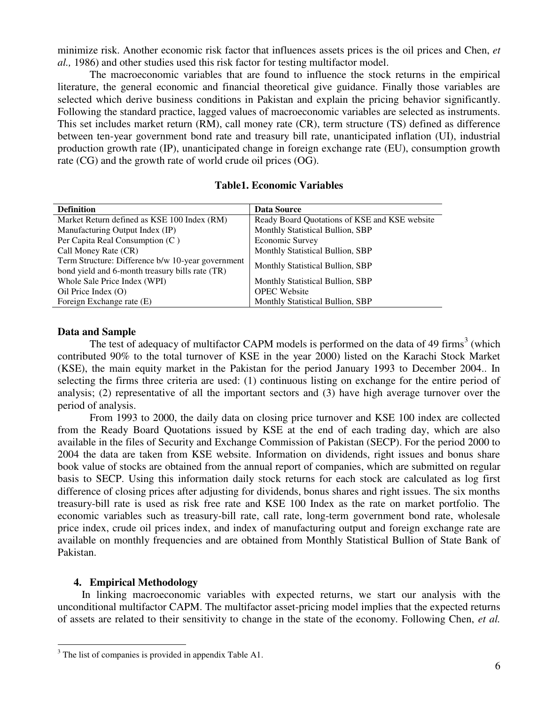minimize risk. Another economic risk factor that influences assets prices is the oil prices and Chen, *et al.,* 1986) and other studies used this risk factor for testing multifactor model.

The macroeconomic variables that are found to influence the stock returns in the empirical literature, the general economic and financial theoretical give guidance. Finally those variables are selected which derive business conditions in Pakistan and explain the pricing behavior significantly. Following the standard practice, lagged values of macroeconomic variables are selected as instruments. This set includes market return (RM), call money rate (CR), term structure (TS) defined as difference between ten-year government bond rate and treasury bill rate, unanticipated inflation (UI), industrial production growth rate (IP), unanticipated change in foreign exchange rate (EU), consumption growth rate (CG) and the growth rate of world crude oil prices (OG).

# **Table1. Economic Variables**

| <b>Definition</b>                                 | Data Source                                   |
|---------------------------------------------------|-----------------------------------------------|
| Market Return defined as KSE 100 Index (RM)       | Ready Board Quotations of KSE and KSE website |
| Manufacturing Output Index (IP)                   | Monthly Statistical Bullion, SBP              |
| Per Capita Real Consumption (C)                   | Economic Survey                               |
| Call Money Rate (CR)                              | Monthly Statistical Bullion, SBP              |
| Term Structure: Difference b/w 10-year government | Monthly Statistical Bullion, SBP              |
| bond yield and 6-month treasury bills rate (TR)   |                                               |
| Whole Sale Price Index (WPI)                      | Monthly Statistical Bullion, SBP              |
| Oil Price Index $(O)$                             | <b>OPEC</b> Website                           |
| Foreign Exchange rate (E)                         | Monthly Statistical Bullion, SBP              |

# **Data and Sample**

The test of adequacy of multifactor CAPM models is performed on the data of 49 firms<sup>3</sup> (which contributed 90% to the total turnover of KSE in the year 2000) listed on the Karachi Stock Market (KSE), the main equity market in the Pakistan for the period January 1993 to December 2004.. In selecting the firms three criteria are used: (1) continuous listing on exchange for the entire period of analysis; (2) representative of all the important sectors and (3) have high average turnover over the period of analysis.

From 1993 to 2000, the daily data on closing price turnover and KSE 100 index are collected from the Ready Board Quotations issued by KSE at the end of each trading day, which are also available in the files of Security and Exchange Commission of Pakistan (SECP). For the period 2000 to 2004 the data are taken from KSE website. Information on dividends, right issues and bonus share book value of stocks are obtained from the annual report of companies, which are submitted on regular basis to SECP. Using this information daily stock returns for each stock are calculated as log first difference of closing prices after adjusting for dividends, bonus shares and right issues. The six months treasury-bill rate is used as risk free rate and KSE 100 Index as the rate on market portfolio. The economic variables such as treasury-bill rate, call rate, long-term government bond rate, wholesale price index, crude oil prices index, and index of manufacturing output and foreign exchange rate are available on monthly frequencies and are obtained from Monthly Statistical Bullion of State Bank of Pakistan.

# **4. Empirical Methodology**

 In linking macroeconomic variables with expected returns, we start our analysis with the unconditional multifactor CAPM. The multifactor asset-pricing model implies that the expected returns of assets are related to their sensitivity to change in the state of the economy. Following Chen, *et al.* 

 $\overline{a}$ <sup>3</sup> The list of companies is provided in appendix Table A1.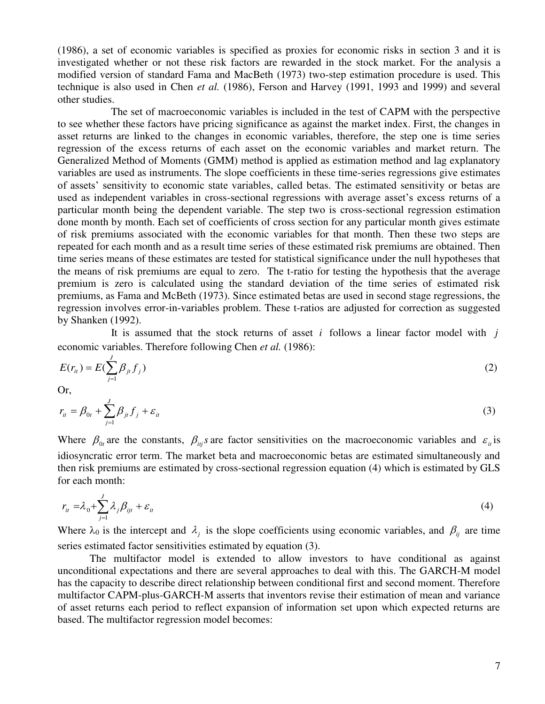(1986), a set of economic variables is specified as proxies for economic risks in section 3 and it is investigated whether or not these risk factors are rewarded in the stock market. For the analysis a modified version of standard Fama and MacBeth (1973) two-step estimation procedure is used. This technique is also used in Chen *et al.* (1986), Ferson and Harvey (1991, 1993 and 1999) and several other studies.

 The set of macroeconomic variables is included in the test of CAPM with the perspective to see whether these factors have pricing significance as against the market index. First, the changes in asset returns are linked to the changes in economic variables, therefore, the step one is time series regression of the excess returns of each asset on the economic variables and market return. The Generalized Method of Moments (GMM) method is applied as estimation method and lag explanatory variables are used as instruments. The slope coefficients in these time-series regressions give estimates of assets' sensitivity to economic state variables, called betas. The estimated sensitivity or betas are used as independent variables in cross-sectional regressions with average asset's excess returns of a particular month being the dependent variable. The step two is cross-sectional regression estimation done month by month. Each set of coefficients of cross section for any particular month gives estimate of risk premiums associated with the economic variables for that month. Then these two steps are repeated for each month and as a result time series of these estimated risk premiums are obtained. Then time series means of these estimates are tested for statistical significance under the null hypotheses that the means of risk premiums are equal to zero. The t-ratio for testing the hypothesis that the average premium is zero is calculated using the standard deviation of the time series of estimated risk premiums, as Fama and McBeth (1973). Since estimated betas are used in second stage regressions, the regression involves error-in-variables problem. These t-ratios are adjusted for correction as suggested by Shanken (1992).

 It is assumed that the stock returns of asset *i* follows a linear factor model with *j* economic variables. Therefore following Chen *et al.* (1986):

$$
E(r_{it}) = E(\sum_{j=1}^{J} \beta_{jt} f_j)
$$
 (2)

Or,

$$
r_{it} = \beta_{0t} + \sum_{j=1}^{J} \beta_{jt} f_j + \varepsilon_{it}
$$
\n(3)

Where  $\beta_{0t}$  are the constants,  $\beta_{ij}$  are factor sensitivities on the macroeconomic variables and  $\varepsilon_{it}$  is idiosyncratic error term. The market beta and macroeconomic betas are estimated simultaneously and then risk premiums are estimated by cross-sectional regression equation (4) which is estimated by GLS for each month:

$$
r_{it} = \lambda_0 + \sum_{j=1}^{J} \lambda_j \beta_{ijt} + \varepsilon_{it}
$$
\n(4)

Where  $\lambda_0$  is the intercept and  $\lambda_j$  is the slope coefficients using economic variables, and  $\beta_{ij}$  are time series estimated factor sensitivities estimated by equation (3).

The multifactor model is extended to allow investors to have conditional as against unconditional expectations and there are several approaches to deal with this. The GARCH-M model has the capacity to describe direct relationship between conditional first and second moment. Therefore multifactor CAPM-plus-GARCH-M asserts that inventors revise their estimation of mean and variance of asset returns each period to reflect expansion of information set upon which expected returns are based. The multifactor regression model becomes: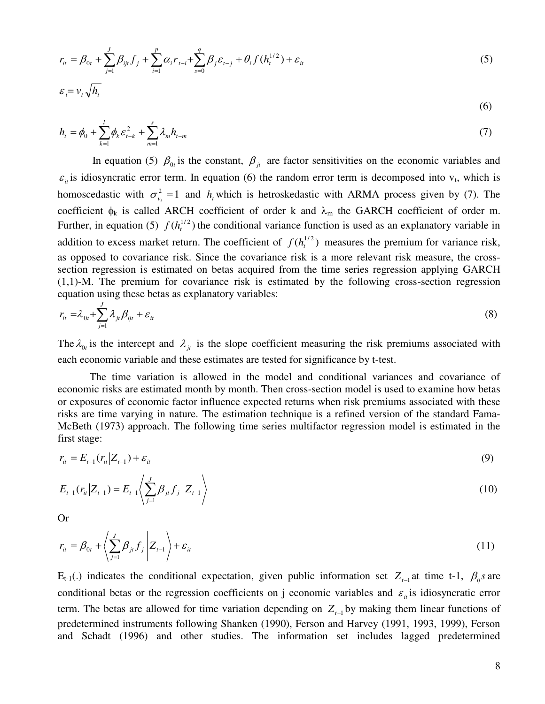$$
r_{it} = \beta_{0t} + \sum_{j=1}^{J} \beta_{ijt} f_j + \sum_{i=1}^{p} \alpha_i r_{t-i} + \sum_{s=0}^{q} \beta_j \varepsilon_{t-j} + \theta_i f(h_i^{1/2}) + \varepsilon_{it}
$$
  

$$
\varepsilon_i = v_t \sqrt{h_t}
$$
 (5)

$$
h_{t} = \phi_0 + \sum_{k=1}^{l} \phi_k \varepsilon_{t-k}^2 + \sum_{m=1}^{s} \lambda_m h_{t-m}
$$
 (7)

In equation (5)  $\beta_{0t}$  is the constant,  $\beta_{jt}$  are factor sensitivities on the economic variables and  $\varepsilon_{it}$  is idiosyncratic error term. In equation (6) the random error term is decomposed into  $v_t$ , which is homoscedastic with  $\sigma_{v_t}^2 = 1$  and  $h_t$  which is hetroskedastic with ARMA process given by (7). The coefficient  $\phi_k$  is called ARCH coefficient of order k and  $\lambda_m$  the GARCH coefficient of order m. Further, in equation (5)  $f(h_t^{1/2})$  the conditional variance function is used as an explanatory variable in addition to excess market return. The coefficient of  $f(h_t^{1/2})$  measures the premium for variance risk, as opposed to covariance risk. Since the covariance risk is a more relevant risk measure, the crosssection regression is estimated on betas acquired from the time series regression applying GARCH (1,1)-M. The premium for covariance risk is estimated by the following cross-section regression equation using these betas as explanatory variables:

$$
r_{it} = \lambda_{0t} + \sum_{j=1}^{J} \lambda_{jt} \beta_{ijt} + \varepsilon_{it}
$$
\n(8)

The  $\lambda_{0t}$  is the intercept and  $\lambda_{jt}$  is the slope coefficient measuring the risk premiums associated with each economic variable and these estimates are tested for significance by t-test.

The time variation is allowed in the model and conditional variances and covariance of economic risks are estimated month by month. Then cross-section model is used to examine how betas or exposures of economic factor influence expected returns when risk premiums associated with these risks are time varying in nature. The estimation technique is a refined version of the standard Fama-McBeth (1973) approach. The following time series multifactor regression model is estimated in the first stage:

$$
r_{it} = E_{t-1}(r_{it} | Z_{t-1}) + \varepsilon_{it}
$$
\n(9)

$$
E_{t-1}(r_{it}|Z_{t-1}) = E_{t-1}\left\langle \sum_{j=1}^{J} \beta_{jt} f_j \middle| Z_{t-1} \right\rangle \tag{10}
$$

Or

$$
r_{it} = \beta_{0t} + \left\langle \sum_{j=1}^{J} \beta_{jt} f_j \middle| Z_{t-1} \right\rangle + \varepsilon_{it}
$$
\n(11)

 $E_{t-1}(.)$  indicates the conditional expectation, given public information set  $Z_{t-1}$  at time t-1,  $\beta_{ij}$ *s* are conditional betas or the regression coefficients on j economic variables and  $\varepsilon_{it}$  is idiosyncratic error term. The betas are allowed for time variation depending on  $Z_{t-1}$  by making them linear functions of predetermined instruments following Shanken (1990), Ferson and Harvey (1991, 1993, 1999), Ferson and Schadt (1996) and other studies. The information set includes lagged predetermined

(6)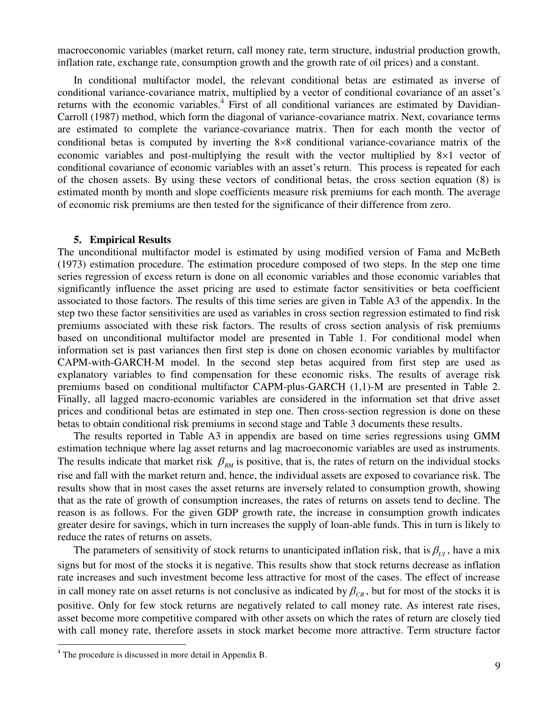macroeconomic variables (market return, call money rate, term structure, industrial production growth, inflation rate, exchange rate, consumption growth and the growth rate of oil prices) and a constant.

In conditional multifactor model, the relevant conditional betas are estimated as inverse of conditional variance-covariance matrix, multiplied by a vector of conditional covariance of an asset's returns with the economic variables.<sup>4</sup> First of all conditional variances are estimated by Davidian-Carroll (1987) method, which form the diagonal of variance-covariance matrix. Next, covariance terms are estimated to complete the variance-covariance matrix. Then for each month the vector of conditional betas is computed by inverting the  $8\times 8$  conditional variance-covariance matrix of the economic variables and post-multiplying the result with the vector multiplied by  $8\times1$  vector of conditional covariance of economic variables with an asset's return. This process is repeated for each of the chosen assets. By using these vectors of conditional betas, the cross section equation (8) is estimated month by month and slope coefficients measure risk premiums for each month. The average of economic risk premiums are then tested for the significance of their difference from zero.

#### **5. Empirical Results**

The unconditional multifactor model is estimated by using modified version of Fama and McBeth (1973) estimation procedure. The estimation procedure composed of two steps. In the step one time series regression of excess return is done on all economic variables and those economic variables that significantly influence the asset pricing are used to estimate factor sensitivities or beta coefficient associated to those factors. The results of this time series are given in Table A3 of the appendix. In the step two these factor sensitivities are used as variables in cross section regression estimated to find risk premiums associated with these risk factors. The results of cross section analysis of risk premiums based on unconditional multifactor model are presented in Table 1. For conditional model when information set is past variances then first step is done on chosen economic variables by multifactor CAPM-with-GARCH-M model. In the second step betas acquired from first step are used as explanatory variables to find compensation for these economic risks. The results of average risk premiums based on conditional multifactor CAPM-plus-GARCH (1,1)-M are presented in Table 2. Finally, all lagged macro-economic variables are considered in the information set that drive asset prices and conditional betas are estimated in step one. Then cross-section regression is done on these betas to obtain conditional risk premiums in second stage and Table 3 documents these results.

The results reported in Table A3 in appendix are based on time series regressions using GMM estimation technique where lag asset returns and lag macroeconomic variables are used as instruments. The results indicate that market risk  $\beta_{RM}$  is positive, that is, the rates of return on the individual stocks rise and fall with the market return and, hence, the individual assets are exposed to covariance risk. The results show that in most cases the asset returns are inversely related to consumption growth, showing that as the rate of growth of consumption increases, the rates of returns on assets tend to decline. The reason is as follows. For the given GDP growth rate, the increase in consumption growth indicates greater desire for savings, which in turn increases the supply of loan-able funds. This in turn is likely to reduce the rates of returns on assets.

The parameters of sensitivity of stock returns to unanticipated inflation risk, that is  $\beta_{UI}$ , have a mix signs but for most of the stocks it is negative. This results show that stock returns decrease as inflation rate increases and such investment become less attractive for most of the cases. The effect of increase in call money rate on asset returns is not conclusive as indicated by  $\beta_{CR}$ , but for most of the stocks it is positive. Only for few stock returns are negatively related to call money rate. As interest rate rises, asset become more competitive compared with other assets on which the rates of return are closely tied with call money rate, therefore assets in stock market become more attractive. Term structure factor

 $\overline{a}$ 

<sup>&</sup>lt;sup>4</sup> The procedure is discussed in more detail in Appendix B.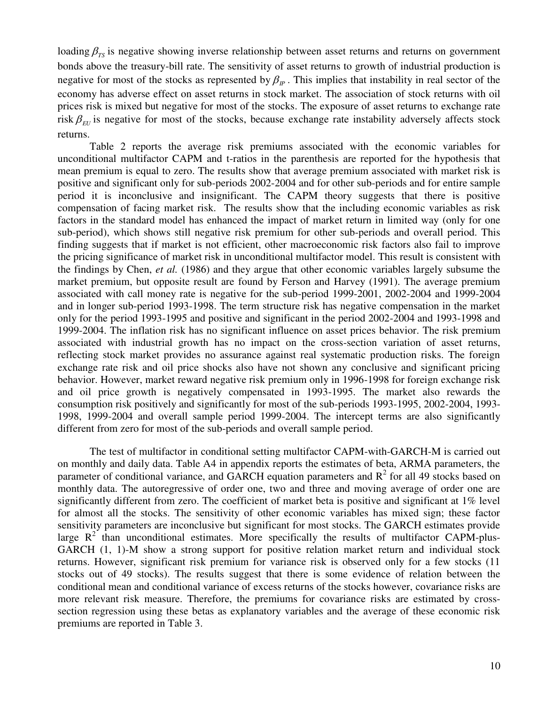loading  $\beta_{TS}$  is negative showing inverse relationship between asset returns and returns on government bonds above the treasury-bill rate. The sensitivity of asset returns to growth of industrial production is negative for most of the stocks as represented by  $\beta_p$ . This implies that instability in real sector of the economy has adverse effect on asset returns in stock market. The association of stock returns with oil prices risk is mixed but negative for most of the stocks. The exposure of asset returns to exchange rate risk  $\beta_{\text{FU}}$  is negative for most of the stocks, because exchange rate instability adversely affects stock returns.

 Table 2 reports the average risk premiums associated with the economic variables for unconditional multifactor CAPM and t-ratios in the parenthesis are reported for the hypothesis that mean premium is equal to zero. The results show that average premium associated with market risk is positive and significant only for sub-periods 2002-2004 and for other sub-periods and for entire sample period it is inconclusive and insignificant. The CAPM theory suggests that there is positive compensation of facing market risk. The results show that the including economic variables as risk factors in the standard model has enhanced the impact of market return in limited way (only for one sub-period), which shows still negative risk premium for other sub-periods and overall period. This finding suggests that if market is not efficient, other macroeconomic risk factors also fail to improve the pricing significance of market risk in unconditional multifactor model. This result is consistent with the findings by Chen, *et al.* (1986) and they argue that other economic variables largely subsume the market premium, but opposite result are found by Ferson and Harvey (1991). The average premium associated with call money rate is negative for the sub-period 1999-2001, 2002-2004 and 1999-2004 and in longer sub-period 1993-1998. The term structure risk has negative compensation in the market only for the period 1993-1995 and positive and significant in the period 2002-2004 and 1993-1998 and 1999-2004. The inflation risk has no significant influence on asset prices behavior. The risk premium associated with industrial growth has no impact on the cross-section variation of asset returns, reflecting stock market provides no assurance against real systematic production risks. The foreign exchange rate risk and oil price shocks also have not shown any conclusive and significant pricing behavior. However, market reward negative risk premium only in 1996-1998 for foreign exchange risk and oil price growth is negatively compensated in 1993-1995. The market also rewards the consumption risk positively and significantly for most of the sub-periods 1993-1995, 2002-2004, 1993- 1998, 1999-2004 and overall sample period 1999-2004. The intercept terms are also significantly different from zero for most of the sub-periods and overall sample period.

The test of multifactor in conditional setting multifactor CAPM-with-GARCH-M is carried out on monthly and daily data. Table A4 in appendix reports the estimates of beta, ARMA parameters, the parameter of conditional variance, and GARCH equation parameters and  $R^2$  for all 49 stocks based on monthly data. The autoregressive of order one, two and three and moving average of order one are significantly different from zero. The coefficient of market beta is positive and significant at 1% level for almost all the stocks. The sensitivity of other economic variables has mixed sign; these factor sensitivity parameters are inconclusive but significant for most stocks. The GARCH estimates provide large  $R^2$  than unconditional estimates. More specifically the results of multifactor CAPM-plus-GARCH (1, 1)-M show a strong support for positive relation market return and individual stock returns. However, significant risk premium for variance risk is observed only for a few stocks (11 stocks out of 49 stocks). The results suggest that there is some evidence of relation between the conditional mean and conditional variance of excess returns of the stocks however, covariance risks are more relevant risk measure. Therefore, the premiums for covariance risks are estimated by crosssection regression using these betas as explanatory variables and the average of these economic risk premiums are reported in Table 3.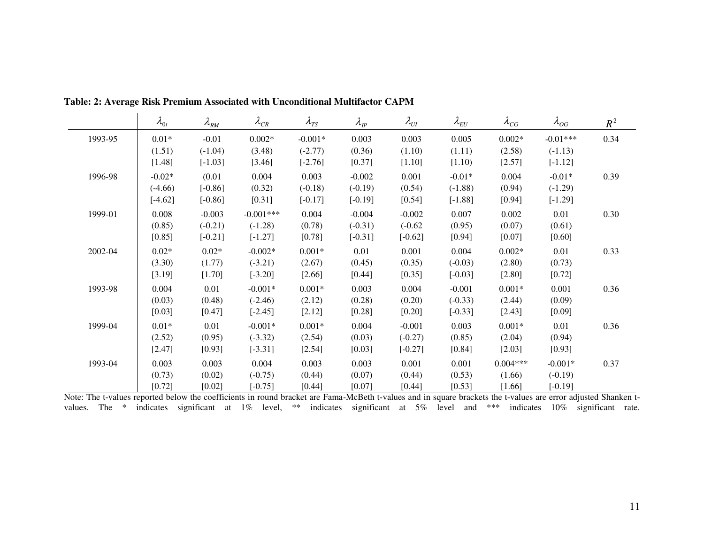|         | $\lambda_{0t}$ | $\lambda_{\rm RM}$ | $\lambda_{\scriptscriptstyle CR}$ | $\lambda_{TS}$ | $\lambda_{\rm \scriptscriptstyle IP}$ | $\lambda_{UI}$ | $\lambda_{\scriptscriptstyle EU}$ | $\lambda_{CG}$ | $\lambda_{OG}$ | $R^2$ |
|---------|----------------|--------------------|-----------------------------------|----------------|---------------------------------------|----------------|-----------------------------------|----------------|----------------|-------|
| 1993-95 | $0.01*$        | $-0.01$            | $0.002*$                          | $-0.001*$      | 0.003                                 | 0.003          | 0.005                             | $0.002*$       | $-0.01***$     | 0.34  |
|         | (1.51)         | $(-1.04)$          | (3.48)                            | $(-2.77)$      | (0.36)                                | (1.10)         | (1.11)                            | (2.58)         | $(-1.13)$      |       |
|         | [1.48]         | $[-1.03]$          | [3.46]                            | $[-2.76]$      | [0.37]                                | [1.10]         | [1.10]                            | [2.57]         | $[-1.12]$      |       |
| 1996-98 | $-0.02*$       | (0.01)             | 0.004                             | 0.003          | $-0.002$                              | 0.001          | $-0.01*$                          | 0.004          | $-0.01*$       | 0.39  |
|         | $(-4.66)$      | $[-0.86]$          | (0.32)                            | $(-0.18)$      | $(-0.19)$                             | (0.54)         | $(-1.88)$                         | (0.94)         | $(-1.29)$      |       |
|         | $[-4.62]$      | $[-0.86]$          | [0.31]                            | $[-0.17]$      | $[-0.19]$                             | [0.54]         | $[-1.88]$                         | [0.94]         | $[-1.29]$      |       |
| 1999-01 | 0.008          | $-0.003$           | $-0.001***$                       | 0.004          | $-0.004$                              | $-0.002$       | 0.007                             | 0.002          | 0.01           | 0.30  |
|         | (0.85)         | $(-0.21)$          | $(-1.28)$                         | (0.78)         | $(-0.31)$                             | $(-0.62)$      | (0.95)                            | (0.07)         | (0.61)         |       |
|         | [0.85]         | $[-0.21]$          | $[-1.27]$                         | [0.78]         | $[-0.31]$                             | $[-0.62]$      | [0.94]                            | [0.07]         | [0.60]         |       |
| 2002-04 | $0.02*$        | $0.02*$            | $-0.002*$                         | $0.001*$       | 0.01                                  | 0.001          | 0.004                             | $0.002*$       | 0.01           | 0.33  |
|         | (3.30)         | (1.77)             | $(-3.21)$                         | (2.67)         | (0.45)                                | (0.35)         | $(-0.03)$                         | (2.80)         | (0.73)         |       |
|         | [3.19]         | $[1.70]$           | $[-3.20]$                         | [2.66]         | [0.44]                                | [0.35]         | $[-0.03]$                         | [2.80]         | [0.72]         |       |
| 1993-98 | 0.004          | 0.01               | $-0.001*$                         | $0.001*$       | 0.003                                 | 0.004          | $-0.001$                          | $0.001*$       | 0.001          | 0.36  |
|         | (0.03)         | (0.48)             | $(-2.46)$                         | (2.12)         | (0.28)                                | (0.20)         | $(-0.33)$                         | (2.44)         | (0.09)         |       |
|         | [0.03]         | [0.47]             | $[-2.45]$                         | [2.12]         | [0.28]                                | [0.20]         | $[-0.33]$                         | [2.43]         | [0.09]         |       |
| 1999-04 | $0.01*$        | 0.01               | $-0.001*$                         | $0.001*$       | 0.004                                 | $-0.001$       | 0.003                             | $0.001*$       | 0.01           | 0.36  |
|         | (2.52)         | (0.95)             | $(-3.32)$                         | (2.54)         | (0.03)                                | $(-0.27)$      | (0.85)                            | (2.04)         | (0.94)         |       |
|         | [2.47]         | [0.93]             | $[-3.31]$                         | [2.54]         | [0.03]                                | $[-0.27]$      | [0.84]                            | [2.03]         | [0.93]         |       |
| 1993-04 | 0.003          | 0.003              | 0.004                             | 0.003          | 0.003                                 | 0.001          | 0.001                             | $0.004***$     | $-0.001*$      | 0.37  |
|         | (0.73)         | (0.02)             | $(-0.75)$                         | (0.44)         | (0.07)                                | (0.44)         | (0.53)                            | (1.66)         | $(-0.19)$      |       |
|         | $[0.72]$       | [0.02]             | $[-0.75]$                         | [0.44]         | [0.07]                                | [0.44]         | [0.53]                            | [1.66]         | $[-0.19]$      |       |

**Table: 2: Average Risk Premium Associated with Unconditional Multifactor CAPM** 

Note: The t-values reported below the coefficients in round bracket are Fama-McBeth t-values and in square brackets the t-values are error adjusted Shanken tvalues. The \* indicates significant at 1% level, \*\* indicates significant at 5% level and \*\*\* indicates 10% significant rate.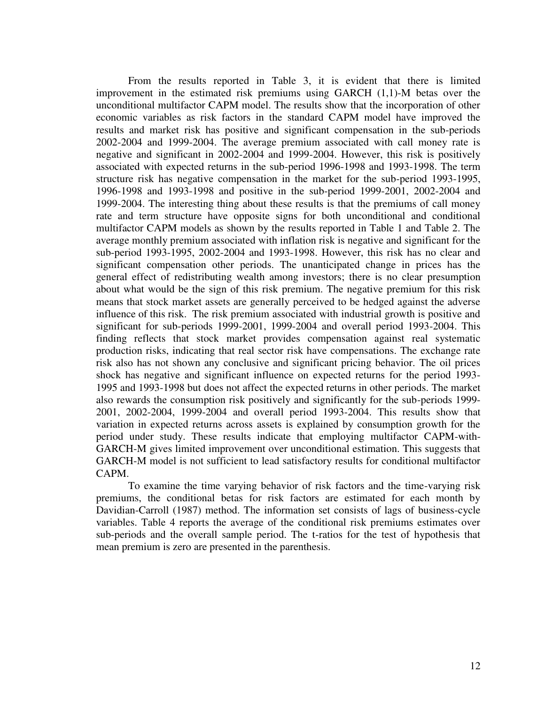From the results reported in Table 3, it is evident that there is limited improvement in the estimated risk premiums using GARCH (1,1)-M betas over the unconditional multifactor CAPM model. The results show that the incorporation of other economic variables as risk factors in the standard CAPM model have improved the results and market risk has positive and significant compensation in the sub-periods 2002-2004 and 1999-2004. The average premium associated with call money rate is negative and significant in 2002-2004 and 1999-2004. However, this risk is positively associated with expected returns in the sub-period 1996-1998 and 1993-1998. The term structure risk has negative compensation in the market for the sub-period 1993-1995, 1996-1998 and 1993-1998 and positive in the sub-period 1999-2001, 2002-2004 and 1999-2004. The interesting thing about these results is that the premiums of call money rate and term structure have opposite signs for both unconditional and conditional multifactor CAPM models as shown by the results reported in Table 1 and Table 2. The average monthly premium associated with inflation risk is negative and significant for the sub-period 1993-1995, 2002-2004 and 1993-1998. However, this risk has no clear and significant compensation other periods. The unanticipated change in prices has the general effect of redistributing wealth among investors; there is no clear presumption about what would be the sign of this risk premium. The negative premium for this risk means that stock market assets are generally perceived to be hedged against the adverse influence of this risk. The risk premium associated with industrial growth is positive and significant for sub-periods 1999-2001, 1999-2004 and overall period 1993-2004. This finding reflects that stock market provides compensation against real systematic production risks, indicating that real sector risk have compensations. The exchange rate risk also has not shown any conclusive and significant pricing behavior. The oil prices shock has negative and significant influence on expected returns for the period 1993- 1995 and 1993-1998 but does not affect the expected returns in other periods. The market also rewards the consumption risk positively and significantly for the sub-periods 1999- 2001, 2002-2004, 1999-2004 and overall period 1993-2004. This results show that variation in expected returns across assets is explained by consumption growth for the period under study. These results indicate that employing multifactor CAPM-with-GARCH-M gives limited improvement over unconditional estimation. This suggests that GARCH-M model is not sufficient to lead satisfactory results for conditional multifactor CAPM.

To examine the time varying behavior of risk factors and the time-varying risk premiums, the conditional betas for risk factors are estimated for each month by Davidian-Carroll (1987) method. The information set consists of lags of business-cycle variables. Table 4 reports the average of the conditional risk premiums estimates over sub-periods and the overall sample period. The t-ratios for the test of hypothesis that mean premium is zero are presented in the parenthesis.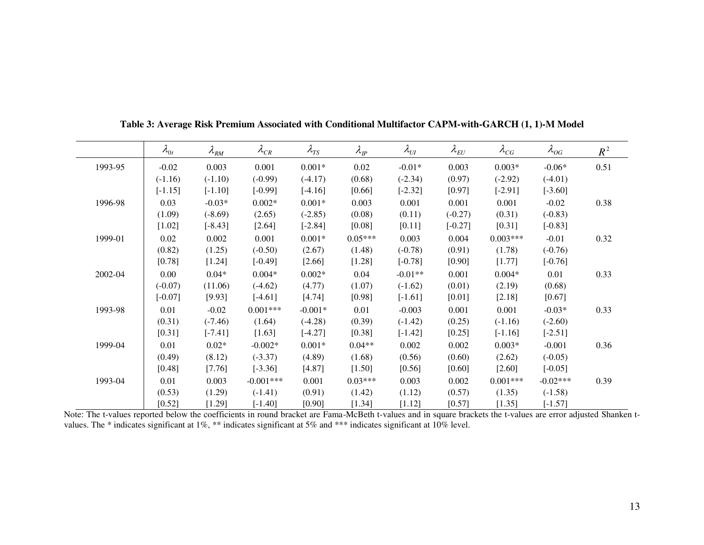|         | $\lambda_{0t}$ | $\lambda_{\rm RM}$ | $\lambda_{CR}$ | $\lambda_{TS}$ | $\lambda_{\rm\scriptscriptstyle IP}$ | $\lambda_{UI}$ | $\lambda_{\scriptscriptstyle EU}$ | $\lambda_{CG}$ | $\lambda_{OG}$ | $R^2$ |
|---------|----------------|--------------------|----------------|----------------|--------------------------------------|----------------|-----------------------------------|----------------|----------------|-------|
| 1993-95 | $-0.02$        | 0.003              | 0.001          | $0.001*$       | 0.02                                 | $-0.01*$       | 0.003                             | $0.003*$       | $-0.06*$       | 0.51  |
|         | $(-1.16)$      | $(-1.10)$          | $(-0.99)$      | $(-4.17)$      | (0.68)                               | $(-2.34)$      | (0.97)                            | $(-2.92)$      | $(-4.01)$      |       |
|         | $[-1.15]$      | $[-1.10]$          | $[-0.99]$      | $[-4.16]$      | [0.66]                               | $[-2.32]$      | [0.97]                            | $[-2.91]$      | $[-3.60]$      |       |
| 1996-98 | 0.03           | $-0.03*$           | $0.002*$       | $0.001*$       | 0.003                                | 0.001          | 0.001                             | 0.001          | $-0.02$        | 0.38  |
|         | (1.09)         | $(-8.69)$          | (2.65)         | $(-2.85)$      | (0.08)                               | (0.11)         | $(-0.27)$                         | (0.31)         | $(-0.83)$      |       |
|         | $[1.02]$       | $[-8.43]$          | [2.64]         | $[-2.84]$      | [0.08]                               | $[0.11]$       | $[-0.27]$                         | [0.31]         | $[-0.83]$      |       |
| 1999-01 | 0.02           | 0.002              | 0.001          | $0.001*$       | $0.05***$                            | 0.003          | 0.004                             | $0.003***$     | $-0.01$        | 0.32  |
|         | (0.82)         | (1.25)             | $(-0.50)$      | (2.67)         | (1.48)                               | $(-0.78)$      | (0.91)                            | (1.78)         | $(-0.76)$      |       |
|         | $[0.78]$       | [1.24]             | $[-0.49]$      | [2.66]         | [1.28]                               | $[-0.78]$      | $[0.90]$                          | [1.77]         | $[-0.76]$      |       |
| 2002-04 | 0.00           | $0.04*$            | $0.004*$       | $0.002*$       | 0.04                                 | $-0.01**$      | 0.001                             | $0.004*$       | 0.01           | 0.33  |
|         | $(-0.07)$      | (11.06)            | $(-4.62)$      | (4.77)         | (1.07)                               | $(-1.62)$      | (0.01)                            | (2.19)         | (0.68)         |       |
|         | $[-0.07]$      | [9.93]             | $[-4.61]$      | [4.74]         | [0.98]                               | $[-1.61]$      | $[0.01]$                          | [2.18]         | [0.67]         |       |
| 1993-98 | 0.01           | $-0.02$            | $0.001***$     | $-0.001*$      | 0.01                                 | $-0.003$       | 0.001                             | 0.001          | $-0.03*$       | 0.33  |
|         | (0.31)         | $(-7.46)$          | (1.64)         | $(-4.28)$      | (0.39)                               | $(-1.42)$      | (0.25)                            | $(-1.16)$      | $(-2.60)$      |       |
|         | $[0.31]$       | $[-7.41]$          | [1.63]         | $[-4.27]$      | [0.38]                               | $[-1.42]$      | [0.25]                            | $[-1.16]$      | $[-2.51]$      |       |
| 1999-04 | 0.01           | $0.02*$            | $-0.002*$      | $0.001*$       | $0.04**$                             | 0.002          | 0.002                             | $0.003*$       | $-0.001$       | 0.36  |
|         | (0.49)         | (8.12)             | $(-3.37)$      | (4.89)         | (1.68)                               | (0.56)         | (0.60)                            | (2.62)         | $(-0.05)$      |       |
|         | [0.48]         | [7.76]             | $[-3.36]$      | [4.87]         | [1.50]                               | [0.56]         | $[0.60]$                          | [2.60]         | $[-0.05]$      |       |
| 1993-04 | 0.01           | 0.003              | $-0.001***$    | 0.001          | $0.03***$                            | 0.003          | 0.002                             | $0.001***$     | $-0.02***$     | 0.39  |
|         | (0.53)         | (1.29)             | $(-1.41)$      | (0.91)         | (1.42)                               | (1.12)         | (0.57)                            | (1.35)         | $(-1.58)$      |       |
|         | [0.52]         | [1.29]             | $[-1.40]$      | [0.90]         | $[1.34]$                             | [1.12]         | [0.57]                            | [1.35]         | $[-1.57]$      |       |

**Table 3: Average Risk Premium Associated with Conditional Multifactor CAPM-with-GARCH (1, 1)-M Model** 

Note: The t-values reported below the coefficients in round bracket are Fama-McBeth t-values and in square brackets the t-values are error adjusted Shanken tvalues. The \* indicates significant at 1%, \*\* indicates significant at 5% and \*\*\* indicates significant at 10% level.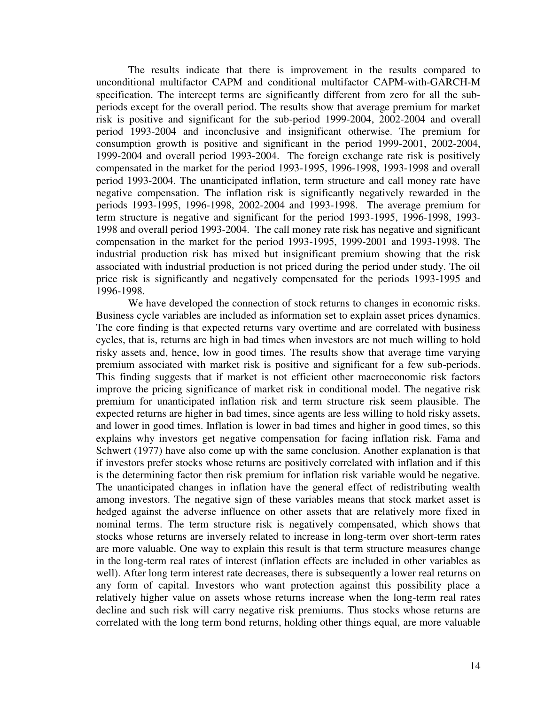The results indicate that there is improvement in the results compared to unconditional multifactor CAPM and conditional multifactor CAPM-with-GARCH-M specification. The intercept terms are significantly different from zero for all the subperiods except for the overall period. The results show that average premium for market risk is positive and significant for the sub-period 1999-2004, 2002-2004 and overall period 1993-2004 and inconclusive and insignificant otherwise. The premium for consumption growth is positive and significant in the period 1999-2001, 2002-2004, 1999-2004 and overall period 1993-2004. The foreign exchange rate risk is positively compensated in the market for the period 1993-1995, 1996-1998, 1993-1998 and overall period 1993-2004. The unanticipated inflation, term structure and call money rate have negative compensation. The inflation risk is significantly negatively rewarded in the periods 1993-1995, 1996-1998, 2002-2004 and 1993-1998. The average premium for term structure is negative and significant for the period 1993-1995, 1996-1998, 1993- 1998 and overall period 1993-2004. The call money rate risk has negative and significant compensation in the market for the period 1993-1995, 1999-2001 and 1993-1998. The industrial production risk has mixed but insignificant premium showing that the risk associated with industrial production is not priced during the period under study. The oil price risk is significantly and negatively compensated for the periods 1993-1995 and 1996-1998.

We have developed the connection of stock returns to changes in economic risks. Business cycle variables are included as information set to explain asset prices dynamics. The core finding is that expected returns vary overtime and are correlated with business cycles, that is, returns are high in bad times when investors are not much willing to hold risky assets and, hence, low in good times. The results show that average time varying premium associated with market risk is positive and significant for a few sub-periods. This finding suggests that if market is not efficient other macroeconomic risk factors improve the pricing significance of market risk in conditional model. The negative risk premium for unanticipated inflation risk and term structure risk seem plausible. The expected returns are higher in bad times, since agents are less willing to hold risky assets, and lower in good times. Inflation is lower in bad times and higher in good times, so this explains why investors get negative compensation for facing inflation risk. Fama and Schwert (1977) have also come up with the same conclusion. Another explanation is that if investors prefer stocks whose returns are positively correlated with inflation and if this is the determining factor then risk premium for inflation risk variable would be negative. The unanticipated changes in inflation have the general effect of redistributing wealth among investors. The negative sign of these variables means that stock market asset is hedged against the adverse influence on other assets that are relatively more fixed in nominal terms. The term structure risk is negatively compensated, which shows that stocks whose returns are inversely related to increase in long-term over short-term rates are more valuable. One way to explain this result is that term structure measures change in the long-term real rates of interest (inflation effects are included in other variables as well). After long term interest rate decreases, there is subsequently a lower real returns on any form of capital. Investors who want protection against this possibility place a relatively higher value on assets whose returns increase when the long-term real rates decline and such risk will carry negative risk premiums. Thus stocks whose returns are correlated with the long term bond returns, holding other things equal, are more valuable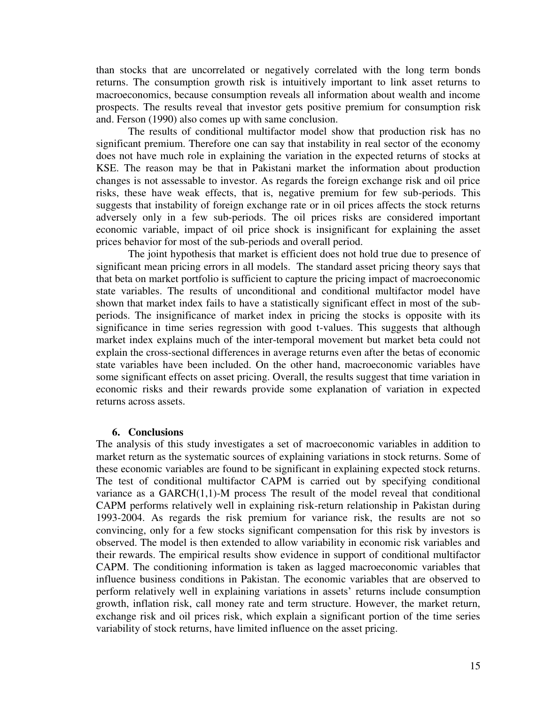than stocks that are uncorrelated or negatively correlated with the long term bonds returns. The consumption growth risk is intuitively important to link asset returns to macroeconomics, because consumption reveals all information about wealth and income prospects. The results reveal that investor gets positive premium for consumption risk and. Ferson (1990) also comes up with same conclusion.

The results of conditional multifactor model show that production risk has no significant premium. Therefore one can say that instability in real sector of the economy does not have much role in explaining the variation in the expected returns of stocks at KSE. The reason may be that in Pakistani market the information about production changes is not assessable to investor. As regards the foreign exchange risk and oil price risks, these have weak effects, that is, negative premium for few sub-periods. This suggests that instability of foreign exchange rate or in oil prices affects the stock returns adversely only in a few sub-periods. The oil prices risks are considered important economic variable, impact of oil price shock is insignificant for explaining the asset prices behavior for most of the sub-periods and overall period.

The joint hypothesis that market is efficient does not hold true due to presence of significant mean pricing errors in all models. The standard asset pricing theory says that that beta on market portfolio is sufficient to capture the pricing impact of macroeconomic state variables. The results of unconditional and conditional multifactor model have shown that market index fails to have a statistically significant effect in most of the subperiods. The insignificance of market index in pricing the stocks is opposite with its significance in time series regression with good t-values. This suggests that although market index explains much of the inter-temporal movement but market beta could not explain the cross-sectional differences in average returns even after the betas of economic state variables have been included. On the other hand, macroeconomic variables have some significant effects on asset pricing. Overall, the results suggest that time variation in economic risks and their rewards provide some explanation of variation in expected returns across assets.

### **6. Conclusions**

The analysis of this study investigates a set of macroeconomic variables in addition to market return as the systematic sources of explaining variations in stock returns. Some of these economic variables are found to be significant in explaining expected stock returns. The test of conditional multifactor CAPM is carried out by specifying conditional variance as a GARCH(1,1)-M process The result of the model reveal that conditional CAPM performs relatively well in explaining risk-return relationship in Pakistan during 1993-2004. As regards the risk premium for variance risk, the results are not so convincing, only for a few stocks significant compensation for this risk by investors is observed. The model is then extended to allow variability in economic risk variables and their rewards. The empirical results show evidence in support of conditional multifactor CAPM. The conditioning information is taken as lagged macroeconomic variables that influence business conditions in Pakistan. The economic variables that are observed to perform relatively well in explaining variations in assets' returns include consumption growth, inflation risk, call money rate and term structure. However, the market return, exchange risk and oil prices risk, which explain a significant portion of the time series variability of stock returns, have limited influence on the asset pricing.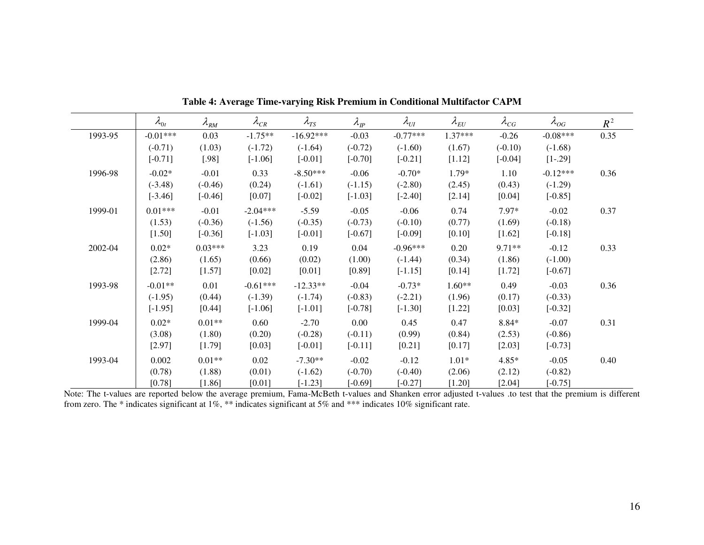|         | $\lambda_{0t}$ | $\lambda_{\rm RM}$ | $\lambda_{CR}$ | $\lambda_{TS}$ | $\lambda_{\rm IP}$ | $\lambda_{UI}$ | $\lambda_{\scriptscriptstyle EU}$ | $\lambda_{CG}$ | $\lambda_{OG}$ | $R^2$ |
|---------|----------------|--------------------|----------------|----------------|--------------------|----------------|-----------------------------------|----------------|----------------|-------|
| 1993-95 | $-0.01***$     | 0.03               | $-1.75**$      | $-16.92***$    | $-0.03$            | $-0.77***$     | $1.37***$                         | $-0.26$        | $-0.08***$     | 0.35  |
|         | $(-0.71)$      | (1.03)             | $(-1.72)$      | $(-1.64)$      | $(-0.72)$          | $(-1.60)$      | (1.67)                            | $(-0.10)$      | $(-1.68)$      |       |
|         | $[-0.71]$      | $[.98]$            | $[-1.06]$      | $[-0.01]$      | $[-0.70]$          | $[-0.21]$      | [1.12]                            | $[-0.04]$      | $[1-.29]$      |       |
| 1996-98 | $-0.02*$       | $-0.01$            | 0.33           | $-8.50***$     | $-0.06$            | $-0.70*$       | 1.79*                             | 1.10           | $-0.12***$     | 0.36  |
|         | $(-3.48)$      | $(-0.46)$          | (0.24)         | $(-1.61)$      | $(-1.15)$          | $(-2.80)$      | (2.45)                            | (0.43)         | $(-1.29)$      |       |
|         | $[-3.46]$      | $[-0.46]$          | [0.07]         | $[-0.02]$      | $[-1.03]$          | $[-2.40]$      | [2.14]                            | [0.04]         | $[-0.85]$      |       |
| 1999-01 | $0.01***$      | $-0.01$            | $-2.04***$     | $-5.59$        | $-0.05$            | $-0.06$        | 0.74                              | 7.97*          | $-0.02$        | 0.37  |
|         | (1.53)         | $(-0.36)$          | $(-1.56)$      | $(-0.35)$      | $(-0.73)$          | $(-0.10)$      | (0.77)                            | (1.69)         | $(-0.18)$      |       |
|         | [1.50]         | $[-0.36]$          | $[-1.03]$      | $[-0.01]$      | $[-0.67]$          | $[-0.09]$      | [0.10]                            | [1.62]         | $[-0.18]$      |       |
| 2002-04 | $0.02*$        | $0.03***$          | 3.23           | 0.19           | 0.04               | $-0.96***$     | 0.20                              | 9.71**         | $-0.12$        | 0.33  |
|         | (2.86)         | (1.65)             | (0.66)         | (0.02)         | (1.00)             | $(-1.44)$      | (0.34)                            | (1.86)         | $(-1.00)$      |       |
|         | [2.72]         | [1.57]             | [0.02]         | [0.01]         | [0.89]             | $[-1.15]$      | [0.14]                            | [1.72]         | $[-0.67]$      |       |
| 1993-98 | $-0.01**$      | 0.01               | $-0.61***$     | $-12.33**$     | $-0.04$            | $-0.73*$       | $1.60**$                          | 0.49           | $-0.03$        | 0.36  |
|         | $(-1.95)$      | (0.44)             | $(-1.39)$      | $(-1.74)$      | $(-0.83)$          | $(-2.21)$      | (1.96)                            | (0.17)         | $(-0.33)$      |       |
|         | $[-1.95]$      | [0.44]             | $[-1.06]$      | $[-1.01]$      | $[-0.78]$          | $[-1.30]$      | [1.22]                            | [0.03]         | $[-0.32]$      |       |
| 1999-04 | $0.02*$        | $0.01**$           | 0.60           | $-2.70$        | 0.00               | 0.45           | 0.47                              | 8.84*          | $-0.07$        | 0.31  |
|         | (3.08)         | (1.80)             | (0.20)         | $(-0.28)$      | $(-0.11)$          | (0.99)         | (0.84)                            | (2.53)         | $(-0.86)$      |       |
|         | [2.97]         | [1.79]             | [0.03]         | $[-0.01]$      | $[-0.11]$          | [0.21]         | [0.17]                            | [2.03]         | $[-0.73]$      |       |
| 1993-04 | 0.002          | $0.01**$           | 0.02           | $-7.30**$      | $-0.02$            | $-0.12$        | $1.01*$                           | 4.85*          | $-0.05$        | 0.40  |
|         | (0.78)         | (1.88)             | (0.01)         | $(-1.62)$      | $(-0.70)$          | $(-0.40)$      | (2.06)                            | (2.12)         | $(-0.82)$      |       |
|         | [0.78]         | $[1.86]$           | $[0.01]$       | $[-1.23]$      | $[-0.69]$          | $[-0.27]$      | $[1.20]$                          | [2.04]         | $[-0.75]$      |       |

**Table 4: Average Time-varying Risk Premium in Conditional Multifactor CAPM** 

Note: The t-values are reported below the average premium, Fama-McBeth t-values and Shanken error adjusted t-values .to test that the premium is different from zero. The \* indicates significant at 1%, \*\* indicates significant at 5% and \*\*\* indicates 10% significant rate.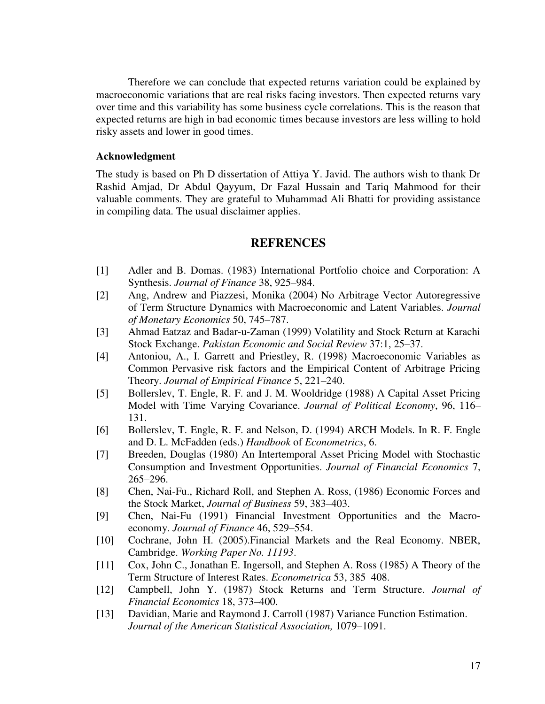Therefore we can conclude that expected returns variation could be explained by macroeconomic variations that are real risks facing investors. Then expected returns vary over time and this variability has some business cycle correlations. This is the reason that expected returns are high in bad economic times because investors are less willing to hold risky assets and lower in good times.

### **Acknowledgment**

The study is based on Ph D dissertation of Attiya Y. Javid. The authors wish to thank Dr Rashid Amjad, Dr Abdul Qayyum, Dr Fazal Hussain and Tariq Mahmood for their valuable comments. They are grateful to Muhammad Ali Bhatti for providing assistance in compiling data. The usual disclaimer applies.

# **REFRENCES**

- [1] Adler and B. Domas. (1983) International Portfolio choice and Corporation: A Synthesis. *Journal of Finance* 38, 925–984.
- [2] Ang, Andrew and Piazzesi, Monika (2004) No Arbitrage Vector Autoregressive of Term Structure Dynamics with Macroeconomic and Latent Variables. *Journal of Monetary Economics* 50, 745–787.
- [3] Ahmad Eatzaz and Badar-u-Zaman (1999) Volatility and Stock Return at Karachi Stock Exchange. *Pakistan Economic and Social Review* 37:1, 25–37.
- [4] Antoniou, A., I. Garrett and Priestley, R. (1998) Macroeconomic Variables as Common Pervasive risk factors and the Empirical Content of Arbitrage Pricing Theory. *Journal of Empirical Finance* 5, 221–240.
- [5] Bollerslev, T. Engle, R. F. and J. M. Wooldridge (1988) A Capital Asset Pricing Model with Time Varying Covariance. *Journal of Political Economy*, 96, 116– 131.
- [6] Bollerslev, T. Engle, R. F. and Nelson, D. (1994) ARCH Models. In R. F. Engle and D. L. McFadden (eds.) *Handbook* of *Econometrics*, 6.
- [7] Breeden, Douglas (1980) An Intertemporal Asset Pricing Model with Stochastic Consumption and Investment Opportunities. *Journal of Financial Economics* 7, 265–296.
- [8] Chen, Nai-Fu., Richard Roll, and Stephen A. Ross, (1986) Economic Forces and the Stock Market, *Journal of Business* 59, 383–403.
- [9] Chen, Nai-Fu (1991) Financial Investment Opportunities and the Macroeconomy. *Journal of Finance* 46, 529–554.
- [10] Cochrane, John H. (2005).Financial Markets and the Real Economy. NBER, Cambridge. *Working Paper No. 11193*.
- [11] Cox, John C., Jonathan E. Ingersoll, and Stephen A. Ross (1985) A Theory of the Term Structure of Interest Rates. *Econometrica* 53, 385–408.
- [12] Campbell, John Y. (1987) Stock Returns and Term Structure. *Journal of Financial Economics* 18, 373–400.
- [13] Davidian, Marie and Raymond J. Carroll (1987) Variance Function Estimation. *Journal of the American Statistical Association,* 1079–1091.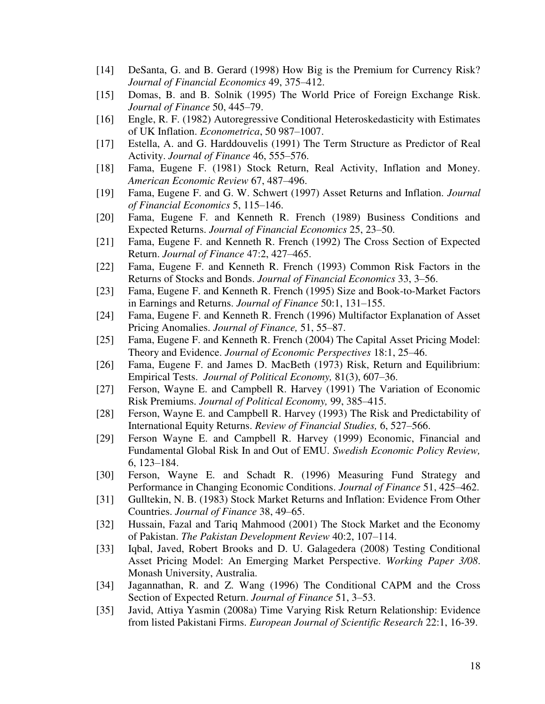- [14] DeSanta, G. and B. Gerard (1998) How Big is the Premium for Currency Risk? *Journal of Financial Economics* 49, 375–412.
- [15] Domas, B. and B. Solnik (1995) The World Price of Foreign Exchange Risk. *Journal of Finance* 50, 445–79.
- [16] Engle, R. F. (1982) Autoregressive Conditional Heteroskedasticity with Estimates of UK Inflation. *Econometrica*, 50 987–1007.
- [17] Estella, A. and G. Harddouvelis (1991) The Term Structure as Predictor of Real Activity. *Journal of Finance* 46, 555–576.
- [18] Fama, Eugene F. (1981) Stock Return, Real Activity, Inflation and Money. *American Economic Review* 67, 487–496.
- [19] Fama, Eugene F. and G. W. Schwert (1997) Asset Returns and Inflation. *Journal of Financial Economics* 5, 115–146.
- [20] Fama, Eugene F. and Kenneth R. French (1989) Business Conditions and Expected Returns. *Journal of Financial Economics* 25, 23–50.
- [21] Fama, Eugene F. and Kenneth R. French (1992) The Cross Section of Expected Return. *Journal of Finance* 47:2, 427–465.
- [22] Fama, Eugene F. and Kenneth R. French (1993) Common Risk Factors in the Returns of Stocks and Bonds. *Journal of Financial Economics* 33, 3–56.
- [23] Fama, Eugene F. and Kenneth R. French (1995) Size and Book-to-Market Factors in Earnings and Returns. *Journal of Finance* 50:1, 131–155.
- [24] Fama, Eugene F. and Kenneth R. French (1996) Multifactor Explanation of Asset Pricing Anomalies. *Journal of Finance,* 51, 55–87.
- [25] Fama, Eugene F. and Kenneth R. French (2004) The Capital Asset Pricing Model: Theory and Evidence. *Journal of Economic Perspectives* 18:1, 25–46.
- [26] Fama, Eugene F. and James D. MacBeth (1973) Risk, Return and Equilibrium: Empirical Tests. *Journal of Political Economy,* 81(3), 607–36.
- [27] Ferson, Wayne E. and Campbell R. Harvey (1991) The Variation of Economic Risk Premiums. *Journal of Political Economy,* 99, 385–415.
- [28] Ferson, Wayne E. and Campbell R. Harvey (1993) The Risk and Predictability of International Equity Returns. *Review of Financial Studies,* 6, 527–566.
- [29] Ferson Wayne E. and Campbell R. Harvey (1999) Economic, Financial and Fundamental Global Risk In and Out of EMU. *Swedish Economic Policy Review,* 6, 123–184.
- [30] Ferson, Wayne E. and Schadt R. (1996) Measuring Fund Strategy and Performance in Changing Economic Conditions. *Journal of Finance* 51, 425–462.
- [31] Gulltekin, N. B. (1983) Stock Market Returns and Inflation: Evidence From Other Countries. *Journal of Finance* 38, 49–65.
- [32] Hussain, Fazal and Tariq Mahmood (2001) The Stock Market and the Economy of Pakistan. *The Pakistan Development Review* 40:2, 107–114.
- [33] Iqbal, Javed, Robert Brooks and D. U. Galagedera (2008) Testing Conditional Asset Pricing Model: An Emerging Market Perspective. *Working Paper 3/08*. Monash University, Australia.
- [34] Jagannathan, R. and Z. Wang (1996) The Conditional CAPM and the Cross Section of Expected Return. *Journal of Finance* 51, 3–53.
- [35] Javid, Attiya Yasmin (2008a) Time Varying Risk Return Relationship: Evidence from listed Pakistani Firms. *European Journal of Scientific Research* 22:1, 16-39.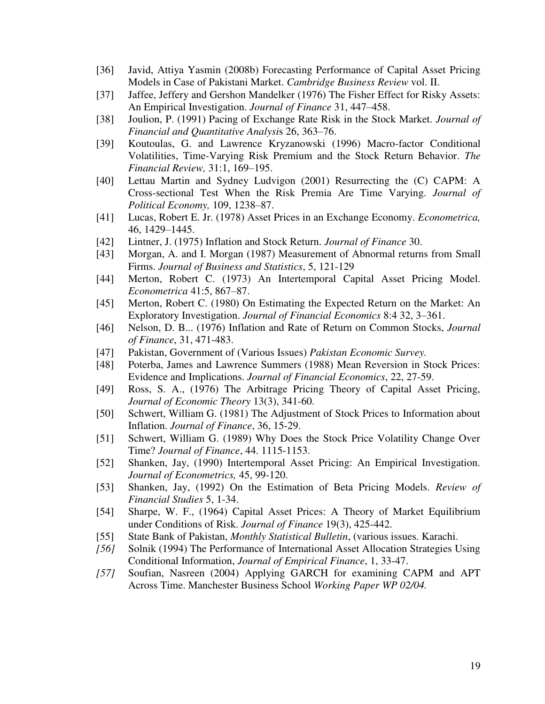- [36] Javid, Attiya Yasmin (2008b) Forecasting Performance of Capital Asset Pricing Models in Case of Pakistani Market. *Cambridge Business Review* vol. II.
- [37] Jaffee, Jeffery and Gershon Mandelker (1976) The Fisher Effect for Risky Assets: An Empirical Investigation. *Journal of Finance* 31, 447–458.
- [38] Joulion, P. (1991) Pacing of Exchange Rate Risk in the Stock Market. *Journal of Financial and Quantitative Analysi*s 26, 363–76.
- [39] Koutoulas, G. and Lawrence Kryzanowski (1996) Macro-factor Conditional Volatilities, Time-Varying Risk Premium and the Stock Return Behavior. *The Financial Review,* 31:1, 169–195.
- [40] Lettau Martin and Sydney Ludvigon (2001) Resurrecting the (C) CAPM: A Cross-sectional Test When the Risk Premia Are Time Varying. *Journal of Political Economy,* 109, 1238–87.
- [41] Lucas, Robert E. Jr. (1978) Asset Prices in an Exchange Economy. *Econometrica,* 46, 1429–1445.
- [42] Lintner, J. (1975) Inflation and Stock Return. *Journal of Finance* 30.
- [43] Morgan, A. and I. Morgan (1987) Measurement of Abnormal returns from Small Firms. *Journal of Business and Statistics*, 5, 121-129
- [44] Merton, Robert C. (1973) An Intertemporal Capital Asset Pricing Model. *Econometrica* 41:5, 867–87.
- [45] Merton, Robert C. (1980) On Estimating the Expected Return on the Market: An Exploratory Investigation. *Journal of Financial Economics* 8:4 32, 3–361.
- [46] Nelson, D. B... (1976) Inflation and Rate of Return on Common Stocks, *Journal of Finance*, 31, 471-483.
- [47] Pakistan, Government of (Various Issues) *Pakistan Economic Survey.*
- [48] Poterba, James and Lawrence Summers (1988) Mean Reversion in Stock Prices: Evidence and Implications. *Journal of Financial Economics*, 22, 27-59.
- [49] Ross, S. A., (1976) The Arbitrage Pricing Theory of Capital Asset Pricing, *Journal of Economic Theory* 13(3), 341-60.
- [50] Schwert, William G. (1981) The Adjustment of Stock Prices to Information about Inflation. *Journal of Finance*, 36, 15-29.
- [51] Schwert, William G. (1989) Why Does the Stock Price Volatility Change Over Time? *Journal of Finance*, 44. 1115-1153.
- [52] Shanken, Jay, (1990) Intertemporal Asset Pricing: An Empirical Investigation. *Journal of Econometrics,* 45, 99-120.
- [53] Shanken, Jay, (1992) On the Estimation of Beta Pricing Models. *Review of Financial Studies* 5, 1-34.
- [54] Sharpe, W. F., (1964) Capital Asset Prices: A Theory of Market Equilibrium under Conditions of Risk. *Journal of Finance* 19(3), 425-442.
- [55] State Bank of Pakistan, *Monthly Statistical Bulletin*, (various issues. Karachi.
- *[56]* Solnik (1994) The Performance of International Asset Allocation Strategies Using Conditional Information, *Journal of Empirical Finance*, 1, 33-47.
- *[57]* Soufian, Nasreen (2004) Applying GARCH for examining CAPM and APT Across Time. Manchester Business School *Working Paper WP 02/04.*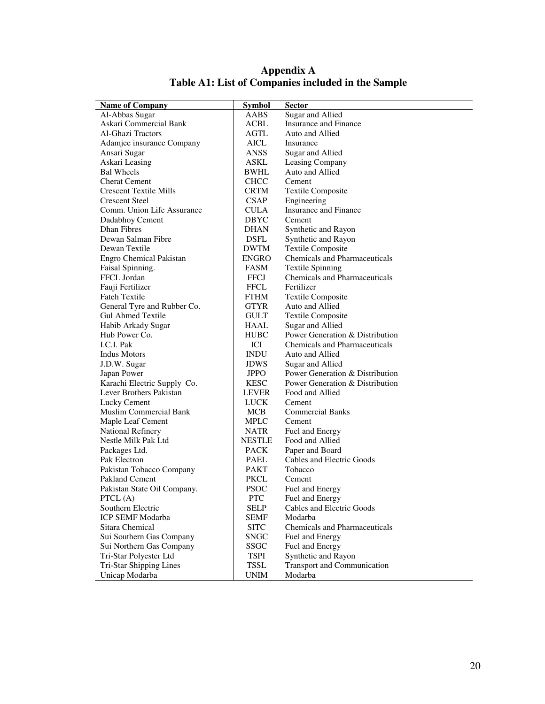| <b>Name of Company</b>         | <b>Symbol</b> | Sector                               |
|--------------------------------|---------------|--------------------------------------|
| Al-Abbas Sugar                 | <b>AABS</b>   | Sugar and Allied                     |
| Askari Commercial Bank         | ACBL          | Insurance and Finance                |
| Al-Ghazi Tractors              | AGTL          | Auto and Allied                      |
| Adamjee insurance Company      | AICL          | Insurance                            |
| Ansari Sugar                   | <b>ANSS</b>   | Sugar and Allied                     |
| Askari Leasing                 | ASKL          | Leasing Company                      |
| <b>Bal Wheels</b>              | BWHL          | Auto and Allied                      |
| <b>Cherat Cement</b>           | <b>CHCC</b>   | Cement                               |
| <b>Crescent Textile Mills</b>  | <b>CRTM</b>   | <b>Textile Composite</b>             |
| <b>Crescent Steel</b>          | <b>CSAP</b>   | Engineering                          |
| Comm. Union Life Assurance     | <b>CULA</b>   | Insurance and Finance                |
| Dadabhoy Cement                | <b>DBYC</b>   | Cement                               |
| <b>Dhan Fibres</b>             | <b>DHAN</b>   | Synthetic and Rayon                  |
| Dewan Salman Fibre             | DSFL          | Synthetic and Rayon                  |
| Dewan Textile                  | <b>DWTM</b>   | <b>Textile Composite</b>             |
| Engro Chemical Pakistan        | ENGRO         | Chemicals and Pharmaceuticals        |
| Faisal Spinning.               | FASM          | <b>Textile Spinning</b>              |
| FFCL Jordan                    | <b>FFCJ</b>   | <b>Chemicals and Pharmaceuticals</b> |
| Fauji Fertilizer               | <b>FFCL</b>   | Fertilizer                           |
| <b>Fateh Textile</b>           | FTHM          | <b>Textile Composite</b>             |
| General Tyre and Rubber Co.    | <b>GTYR</b>   | Auto and Allied                      |
| <b>Gul Ahmed Textile</b>       | <b>GULT</b>   | <b>Textile Composite</b>             |
| Habib Arkady Sugar             | HAAL          | Sugar and Allied                     |
| Hub Power Co.                  | <b>HUBC</b>   | Power Generation & Distribution      |
| I.C.I. Pak                     | ICI           | <b>Chemicals and Pharmaceuticals</b> |
| <b>Indus Motors</b>            | <b>INDU</b>   | Auto and Allied                      |
| J.D.W. Sugar                   | <b>JDWS</b>   | Sugar and Allied                     |
| Japan Power                    | <b>JPPO</b>   | Power Generation & Distribution      |
| Karachi Electric Supply Co.    | <b>KESC</b>   | Power Generation & Distribution      |
| Lever Brothers Pakistan        | <b>LEVER</b>  | Food and Allied                      |
| Lucky Cement                   | LUCK          | Cement                               |
| Muslim Commercial Bank         | MCB           | <b>Commercial Banks</b>              |
| Maple Leaf Cement              | <b>MPLC</b>   | Cement                               |
| <b>National Refinery</b>       | NATR          | Fuel and Energy                      |
| Nestle Milk Pak Ltd            | <b>NESTLE</b> | Food and Allied                      |
| Packages Ltd.                  | <b>PACK</b>   | Paper and Board                      |
| Pak Electron                   | PAEL          | Cables and Electric Goods            |
| Pakistan Tobacco Company       | <b>PAKT</b>   | Tobacco                              |
| Pakland Cement                 | PKCL          | Cement                               |
| Pakistan State Oil Company.    | PSOC          | Fuel and Energy                      |
| PTCL $(A)$                     | <b>PTC</b>    | Fuel and Energy                      |
| Southern Electric              | SELP          | Cables and Electric Goods            |
| <b>ICP SEMF Modarba</b>        | <b>SEMF</b>   | Modarba                              |
| Sitara Chemical                | <b>SITC</b>   | <b>Chemicals and Pharmaceuticals</b> |
| Sui Southern Gas Company       | <b>SNGC</b>   | Fuel and Energy                      |
| Sui Northern Gas Company       | SSGC          | Fuel and Energy                      |
| Tri-Star Polyester Ltd         | <b>TSPI</b>   | Synthetic and Rayon                  |
| <b>Tri-Star Shipping Lines</b> | <b>TSSL</b>   | <b>Transport and Communication</b>   |
| Unicap Modarba                 | <b>UNIM</b>   | Modarba                              |

# **Appendix A Table A1: List of Companies included in the Sample**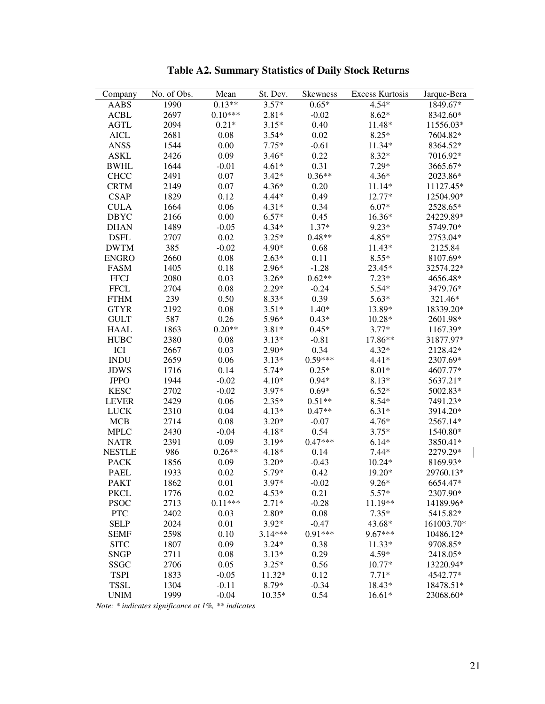| Company       | No. of Obs. | Mean      | St. Dev.  | <b>Skewness</b> | <b>Excess Kurtosis</b> | Jarque-Bera |
|---------------|-------------|-----------|-----------|-----------------|------------------------|-------------|
| AABS          | 1990        | $0.13**$  | $3.57*$   | $0.65*$         | $4.54*$                | 1849.67*    |
| <b>ACBL</b>   | 2697        | $0.10***$ | $2.81*$   | $-0.02$         | $8.62*$                | 8342.60*    |
| <b>AGTL</b>   | 2094        | $0.21*$   | $3.15*$   | 0.40            | 11.48*                 | 11556.03*   |
| <b>AICL</b>   | 2681        | 0.08      | $3.54*$   | 0.02            | $8.25*$                | 7604.82*    |
| <b>ANSS</b>   | 1544        | 0.00      | $7.75*$   | $-0.61$         | 11.34*                 | 8364.52*    |
| <b>ASKL</b>   | 2426        | 0.09      | $3.46*$   | 0.22            | $8.32*$                | 7016.92*    |
| <b>BWHL</b>   | 1644        | $-0.01$   | $4.61*$   | 0.31            | $7.29*$                | 3665.67*    |
| <b>CHCC</b>   | 2491        | 0.07      | $3.42*$   | $0.36**$        | $4.36*$                | 2023.86*    |
| <b>CRTM</b>   | 2149        | 0.07      | $4.36*$   | 0.20            | 11.14*                 | 11127.45*   |
| <b>CSAP</b>   | 1829        | 0.12      | $4.44*$   | 0.49            | 12.77*                 | 12504.90*   |
| <b>CULA</b>   | 1664        | 0.06      | $4.31*$   | 0.34            | $6.07*$                | 2528.65*    |
| <b>DBYC</b>   | 2166        | 0.00      | $6.57*$   | 0.45            | 16.36*                 | 24229.89*   |
| <b>DHAN</b>   | 1489        | $-0.05$   | $4.34*$   | $1.37*$         | $9.23*$                | 5749.70*    |
| <b>DSFL</b>   | 2707        | 0.02      | $3.25*$   | $0.48**$        | $4.85*$                | 2753.04*    |
| <b>DWTM</b>   | 385         | $-0.02$   | $4.90*$   | 0.68            | 11.43*                 | 2125.84     |
| <b>ENGRO</b>  | 2660        | 0.08      | $2.63*$   | 0.11            | $8.55*$                | 8107.69*    |
| <b>FASM</b>   | 1405        | 0.18      | $2.96*$   | $-1.28$         | 23.45*                 | 32574.22*   |
| <b>FFCJ</b>   | 2080        | 0.03      | $3.26*$   | $0.62**$        | $7.23*$                | 4656.48*    |
| <b>FFCL</b>   | 2704        | 0.08      | $2.29*$   | $-0.24$         | $5.54*$                | 3479.76*    |
| <b>FTHM</b>   | 239         | 0.50      | $8.33*$   | 0.39            | $5.63*$                | 321.46*     |
| <b>GTYR</b>   | 2192        | 0.08      | $3.51*$   | $1.40*$         | 13.89*                 | 18339.20*   |
| <b>GULT</b>   | 587         | 0.26      | 5.96*     | $0.43*$         | $10.28*$               | 2601.98*    |
| <b>HAAL</b>   | 1863        | $0.20**$  | $3.81*$   | $0.45*$         | $3.77*$                | 1167.39*    |
| <b>HUBC</b>   | 2380        | 0.08      | $3.13*$   | $-0.81$         | 17.86**                | 31877.97*   |
| ICI           | 2667        | 0.03      | $2.90*$   | 0.34            | $4.32*$                | 2128.42*    |
| <b>INDU</b>   | 2659        | 0.06      | $3.13*$   | $0.59***$       | $4.41*$                | 2307.69*    |
| <b>JDWS</b>   | 1716        | 0.14      | $5.74*$   | $0.25*$         | $8.01*$                | 4607.77*    |
| <b>JPPO</b>   | 1944        | $-0.02$   | $4.10*$   | $0.94*$         | $8.13*$                | 5637.21*    |
| <b>KESC</b>   | 2702        | $-0.02$   | $3.97*$   | $0.69*$         | $6.52*$                | 5002.83*    |
| <b>LEVER</b>  | 2429        | 0.06      | $2.35*$   | $0.51**$        | $8.54*$                | 7491.23*    |
| <b>LUCK</b>   | 2310        | 0.04      | $4.13*$   | $0.47**$        | $6.31*$                | 3914.20*    |
| <b>MCB</b>    | 2714        | 0.08      | $3.20*$   | $-0.07$         | $4.76*$                | 2567.14*    |
| <b>MPLC</b>   | 2430        | $-0.04$   | $4.18*$   | 0.54            | $3.75*$                | 1540.80*    |
| <b>NATR</b>   | 2391        | 0.09      | $3.19*$   | $0.47***$       | $6.14*$                | 3850.41*    |
| <b>NESTLE</b> | 986         | $0.26**$  | $4.18*$   | 0.14            | $7.44*$                | 2279.29*    |
| <b>PACK</b>   | 1856        | 0.09      | $3.20*$   | $-0.43$         | $10.24*$               | 8169.93*    |
| <b>PAEL</b>   | 1933        | 0.02      | $5.79*$   | 0.42            | 19.20*                 | 29760.13*   |
| <b>PAKT</b>   | 1862        | 0.01      | 3.97*     | $-0.02$         | $9.26*$                | 6654.47*    |
| <b>PKCL</b>   | 1776        | 0.02      | $4.53*$   | 0.21            | $5.57*$                | 2307.90*    |
| <b>PSOC</b>   | 2713        | $0.11***$ | $2.71*$   | $-0.28$         | 11.19**                | 14189.96*   |
| <b>PTC</b>    | 2402        | 0.03      | $2.80*$   | 0.08            | $7.35*$                | 5415.82*    |
| <b>SELP</b>   | 2024        | 0.01      | $3.92*$   | $-0.47$         | 43.68*                 | 161003.70*  |
| <b>SEMF</b>   | 2598        | 0.10      | $3.14***$ | $0.91***$       | 9.67***                | 10486.12*   |
| <b>SITC</b>   | 1807        | 0.09      | $3.24*$   | 0.38            | $11.33*$               | 9708.85*    |
| <b>SNGP</b>   | 2711        | 0.08      | $3.13*$   | 0.29            | $4.59*$                | 2418.05*    |
| <b>SSGC</b>   | 2706        | 0.05      | $3.25*$   | 0.56            | 10.77*                 | 13220.94*   |
| <b>TSPI</b>   | 1833        | $-0.05$   | 11.32*    | 0.12            | $7.71*$                | 4542.77*    |
| <b>TSSL</b>   | 1304        | $-0.11$   | 8.79*     | $-0.34$         | 18.43*                 | 18478.51*   |
| <b>UNIM</b>   | 1999        | $-0.04$   | $10.35*$  | 0.54            | $16.61*$               | 23068.60*   |

**Table A2. Summary Statistics of Daily Stock Returns** 

*Note: \* indicates significance at 1%, \*\* indicates*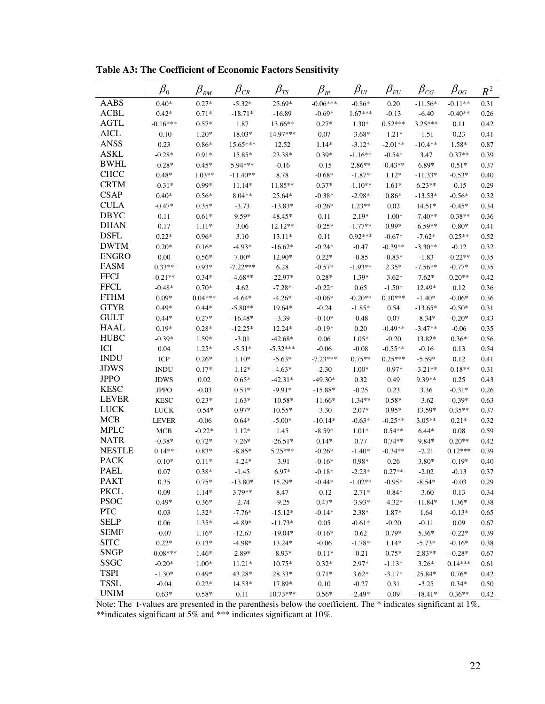|               | $\beta_{\scriptscriptstyle 0}$ | $\beta_{\text{RM}}$ | $\beta_{\scriptscriptstyle CR}$ | $\beta_{\rm \scriptscriptstyle TS}$ | $\beta_{\scriptscriptstyle I\!P}$ | $\beta_{\scriptscriptstyle UI}$ | $\beta_{\scriptscriptstyle EU}$ | $\beta_{\rm CG}$ | $\beta_{_{OG}}$ | $R^2$ |
|---------------|--------------------------------|---------------------|---------------------------------|-------------------------------------|-----------------------------------|---------------------------------|---------------------------------|------------------|-----------------|-------|
| <b>AABS</b>   | $0.40*$                        | $0.27*$             | $-5.32*$                        | 25.69*                              | $-0.06***$                        | $-0.86*$                        | 0.20                            | $-11.56*$        | $-0.11**$       | 0.31  |
| <b>ACBL</b>   | $0.42*$                        | $0.71*$             | $-18.71*$                       | $-16.89$                            | $-0.69*$                          | $1.67***$                       | $-0.13$                         | $-6.40$          | $-0.40**$       | 0.26  |
| <b>AGTL</b>   | $-0.16***$                     | $0.57*$             | 1.87                            | 13.66**                             | $0.27*$                           | $1.30*$                         | $0.52***$                       | $3.25***$        | 0.11            | 0.42  |
| <b>AICL</b>   | $-0.10$                        | $1.20*$             | 18.03*                          | 14.97***                            | 0.07                              | $-3.68*$                        | $-1.21*$                        | $-1.51$          | 0.23            | 0.41  |
| <b>ANSS</b>   | 0.23                           | $0.86*$             | 15.65***                        | 12.52                               | $1.14*$                           | $-3.12*$                        | $-2.01**$                       | $-10.4**$        | 1.58*           | 0.87  |
| <b>ASKL</b>   | $-0.28*$                       | $0.91*$             | 15.85*                          | 23.38*                              | $0.39*$                           | $-1.16**$                       | $-0.54*$                        | 3.47             | $0.37**$        | 0.39  |
| <b>BWHL</b>   | $-0.28*$                       | $0.45*$             | 5.94***                         | $-0.16$                             | $-0.15$                           | $2.86**$                        | $-0.43**$                       | $6.89*$          | $0.51*$         | 0.37  |
| <b>CHCC</b>   | $0.48*$                        | $1.03**$            | $-11.40**$                      | 8.78                                | $-0.68*$                          | $-1.87*$                        | $1.12*$                         | $-11.33*$        | $-0.53*$        | 0.40  |
| <b>CRTM</b>   | $-0.31*$                       | $0.99*$             | $11.14*$                        | 11.85**                             | $0.37*$                           | $-1.10**$                       | $1.61*$                         | $6.23**$         | $-0.15$         | 0.29  |
| <b>CSAP</b>   | $0.40*$                        | $0.56*$             | $8.04**$                        | 25.64*                              | $-0.38*$                          | $-2.98*$                        | $0.86*$                         | $-13.53*$        | $-0.56*$        | 0.32  |
| <b>CULA</b>   | $-0.47*$                       | $0.35*$             | $-3.73$                         | $-13.83*$                           | $-0.26*$                          | $1.23**$                        | 0.02                            | $14.51*$         | $-0.45*$        | 0.34  |
| <b>DBYC</b>   | 0.11                           | $0.61*$             | $9.59*$                         | 48.45*                              | 0.11                              | $2.19*$                         | $-1.00*$                        | $-7.40**$        | $-0.38**$       | 0.36  |
| <b>DHAN</b>   | 0.17                           | $1.11*$             | 3.06                            | 12.12**                             | $-0.25*$                          | $-1.77**$                       | $0.99*$                         | $-6.59**$        | $-0.80*$        | 0.41  |
| <b>DSFL</b>   | $0.22*$                        | $0.96*$             | 3.10                            | $13.11*$                            | 0.11                              | $0.92***$                       | $-0.67*$                        | $-7.62*$         | $0.25**$        | 0.52  |
| <b>DWTM</b>   | $0.20*$                        | $0.16*$             | $-4.93*$                        | $-16.62*$                           | $-0.24*$                          | $-0.47$                         | $-0.39**$                       | $-3.30**$        | $-0.12$         | 0.32  |
| <b>ENGRO</b>  | 0.00                           | $0.56*$             | $7.00*$                         | 12.90*                              | $0.22*$                           | $-0.85$                         | $-0.83*$                        | $-1.83$          | $-0.22**$       | 0.35  |
| <b>FASM</b>   | $0.33**$                       | $0.93*$             | $-7.22***$                      | 6.28                                | $-0.57*$                          | $-1.93**$                       | $2.35*$                         | $-7.56**$        | $-0.77*$        | 0.35  |
| <b>FFCJ</b>   | $-0.21**$                      | $0.34*$             | $-4.68**$                       | $-22.97*$                           | $0.28*$                           | $1.39*$                         | $-3.62*$                        | $7.62*$          | $0.20**$        | 0.42  |
| <b>FFCL</b>   | $-0.48*$                       | $0.70*$             | 4.62                            | $-7.28*$                            | $-0.22*$                          | 0.65                            | $-1.50*$                        | 12.49*           | 0.12            | 0.36  |
| <b>FTHM</b>   | $0.09*$                        | $0.04***$           | $-4.64*$                        | $-4.26*$                            | $-0.06*$                          | $-0.20**$                       | $0.10***$                       | $-1.40*$         | $-0.06*$        | 0.36  |
| <b>GTYR</b>   | $0.49*$                        | $0.44*$             | $-5.80**$                       | 19.64*                              | $-0.24$                           | $-1.85*$                        | 0.54                            | $-13.65*$        | $-0.50*$        | 0.31  |
| <b>GULT</b>   | $0.44*$                        | $0.27*$             | $-16.48*$                       | $-3.39$                             | $-0.10*$                          | $-0.48$                         | 0.07                            | $-8.34*$         | $-0.20*$        | 0.43  |
| <b>HAAL</b>   | $0.19*$                        | $0.28*$             | $-12.25*$                       | $12.24*$                            | $-0.19*$                          | 0.20                            | $-0.49**$                       | $-3.47**$        | $-0.06$         | 0.35  |
| <b>HUBC</b>   | $-0.39*$                       | $1.59*$             | $-3.01$                         | $-42.68*$                           | 0.06                              | $1.05*$                         | $-0.20$                         | 13.82*           | $0.36*$         | 0.56  |
| ICI           | 0.04                           | $1.25*$             | $-5.51*$                        | $-5.32***$                          | $-0.06$                           | $-0.08$                         | $-0.55**$                       | $-0.16$          | 0.13            | 0.54  |
| <b>INDU</b>   | <b>ICP</b>                     | $0.26*$             | $1.10*$                         | $-5.63*$                            | $-7.23***$                        | $0.75**$                        | $0.25***$                       | $-5.59*$         | 0.12            | 0.41  |
| <b>JDWS</b>   | <b>INDU</b>                    | $0.17*$             | $1.12*$                         | $-4.63*$                            | $-2.30$                           | $1.00*$                         | $-0.97*$                        | $-3.21**$        | $-0.18**$       | 0.31  |
| <b>JPPO</b>   | <b>JDWS</b>                    | 0.02                | $0.65*$                         | $-42.31*$                           | $-49.30*$                         | 0.32                            | 0.49                            | 9.39**           | 0.25            | 0.43  |
| <b>KESC</b>   | <b>JPPO</b>                    | $-0.03$             | $0.51*$                         | $-9.91*$                            | $-15.88*$                         | $-0.25$                         | 0.23                            | 3.36             | $-0.31*$        | 0.26  |
| <b>LEVER</b>  | <b>KESC</b>                    | $0.23*$             | $1.63*$                         | $-10.58*$                           | $-11.66*$                         | $1.34**$                        | $0.58*$                         | $-3.62$          | $-0.39*$        | 0.63  |
| <b>LUCK</b>   | <b>LUCK</b>                    | $-0.54*$            | $0.97*$                         | $10.55*$                            | $-3.30$                           | $2.07*$                         | $0.95*$                         | 13.59*           | $0.35**$        | 0.37  |
| <b>MCB</b>    | <b>LEVER</b>                   | $-0.06$             | $0.64*$                         | $-5.00*$                            | $-10.14*$                         | $-0.63*$                        | $-0.25**$                       | $3.05**$         | $0.21*$         | 0.32  |
| <b>MPLC</b>   | MCB                            | $-0.22*$            | $1.12*$                         | 1.45                                | $-8.59*$                          | $1.01*$                         | $0.54**$                        | $6.44*$          | 0.08            | 0.59  |
| <b>NATR</b>   | $-0.38*$                       | $0.72*$             | $7.26*$                         | $-26.51*$                           | $0.14*$                           | 0.77                            | $0.74**$                        | 9.84*            | $0.20**$        | 0.42  |
| <b>NESTLE</b> | $0.14**$                       | $0.83*$             | $-8.85*$                        | 5.25***                             | $-0.26*$                          | $-1.40*$                        | $-0.34**$                       | $-2.21$          | $0.12***$       | 0.39  |
| <b>PACK</b>   | $-0.10*$                       | $0.11*$             | $-4.24*$                        | $-3.91$                             | $-0.16*$                          | $0.98\,{*}$                     | 0.26                            | 3.80*            | $-0.19*$        | 0.40  |
| <b>PAEL</b>   | 0.07                           | $0.38*$             | $-1.45$                         | $6.97*$                             | $-0.18*$                          | $-2.23*$                        | $0.27**$                        | $-2.02$          | $-0.13$         | 0.37  |
| <b>PAKT</b>   | 0.35                           | $0.75*$             | $-13.80*$                       | 15.29*                              | $-0.44*$                          | $-1.02**$                       | $-0.95*$                        | $-8.54*$         | $-0.03$         | 0.29  |
| <b>PKCL</b>   | 0.09                           | $1.14*$             | 3.79**                          | 8.47                                | $-0.12$                           | $-2.71*$                        | $-0.84*$                        | $-3.60$          | 0.13            | 0.34  |
| <b>PSOC</b>   | $0.49*$                        | $0.36*$             | $-2.74$                         | $-9.25$                             | $0.47*$                           | $-3.93*$                        | $-4.32*$                        | $-11.84*$        | $1.36*$         | 0.38  |
| <b>PTC</b>    | 0.03                           | $1.32*$             | $-7.76*$                        | $-15.12*$                           | $-0.14*$                          | $2.38*$                         | 1.87*                           | 1.64             | $-0.13*$        | 0.65  |
| <b>SELP</b>   | 0.06                           | $1.35*$             | $-4.89*$                        | $-11.73*$                           | 0.05                              | $-0.61*$                        | $-0.20$                         | $-0.11$          | 0.09            | 0.67  |
| <b>SEMF</b>   | $-0.07$                        | $1.16*$             | $-12.67$                        | $-19.04*$                           | $-0.16*$                          | 0.62                            | $0.79*$                         | 5.36*            | $-0.22*$        | 0.39  |
| <b>SITC</b>   | $0.22*$                        | $0.13*$             | $-4.98*$                        | 13.24*                              | $-0.06$                           | $-1.78*$                        | $1.14*$                         | $-5.73*$         | $-0.16*$        | 0.38  |
| <b>SNGP</b>   | $-0.08***$                     | $1.46*$             | 2.89*                           | $-8.93*$                            | $-0.11*$                          | $-0.21$                         | $0.75*$                         | 2.83**           | $-0.28*$        | 0.67  |
| <b>SSGC</b>   | $-0.20*$                       | $1.00*$             | $11.21*$                        | 10.75*                              | $0.32*$                           | $2.97*$                         | $-1.13*$                        | $3.26*$          | $0.14***$       | 0.61  |
| <b>TSPI</b>   | $-1.30*$                       | $0.49*$             | 43.28*                          | 28.33*                              | $0.71*$                           | $3.62*$                         | $-3.17*$                        | 25.84*           | $0.76*$         | 0.42  |
| <b>TSSL</b>   | $-0.04$                        | $0.22*$             | 14.53*                          | 17.89*                              | $0.10\,$                          | $-0.27$                         | 0.31                            | $-3.25$          | $0.34*$         | 0.50  |
| <b>UNIM</b>   | $0.63*$                        | $0.58\%$            | $0.11\,$                        | 10.73***                            | $0.56*$                           | $-2.49*$                        | 0.09                            | $-18.41*$        | $0.36**$        | 0.42  |

**Table A3: The Coefficient of Economic Factors Sensitivity** 

Note: The t-values are presented in the parenthesis below the coefficient. The \* indicates significant at 1%, \*\*indicates significant at 5% and \*\*\* indicates significant at 10%.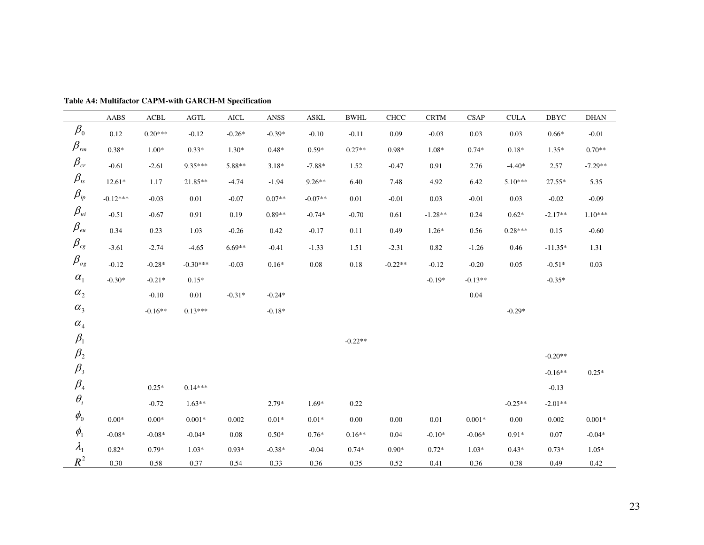|                                     | AABS             | $\bf ACBL$       | $\operatorname{AGTL}$ | <b>AICL</b> | ANSS     | ASKL      | <b>BWHL</b> | <b>CHCC</b> | <b>CRTM</b> | <b>CSAP</b> | <b>CULA</b> | <b>DBYC</b> | $\rm{DHAN}$ |
|-------------------------------------|------------------|------------------|-----------------------|-------------|----------|-----------|-------------|-------------|-------------|-------------|-------------|-------------|-------------|
| $\beta_{\scriptscriptstyle 0}$      | 0.12             | $0.20***$        | $-0.12$               | $-0.26*$    | $-0.39*$ | $-0.10$   | $-0.11$     | 0.09        | $-0.03$     | 0.03        | 0.03        | $0.66*$     | $-0.01$     |
| $\beta_{\scriptscriptstyle rm}$     | $0.38*$          | $1.00*$          | $0.33*$               | $1.30*$     | $0.48*$  | $0.59*$   | $0.27**$    | $0.98*$     | $1.08*$     | $0.74*$     | $0.18*$     | $1.35*$     | $0.70**$    |
| $\beta_{\rm cr}$                    | $-0.61$          | $-2.61$          | 9.35***               | 5.88**      | $3.18*$  | $-7.88*$  | 1.52        | $-0.47$     | 0.91        | 2.76        | $-4.40*$    | 2.57        | $-7.29**$   |
| $\beta_{\rm \scriptscriptstyle ts}$ | $12.61*$         | 1.17             | 21.85**               | $-4.74$     | $-1.94$  | $9.26**$  | 6.40        | 7.48        | 4.92        | 6.42        | $5.10***$   | $27.55*$    | 5.35        |
| $\beta_{\scriptscriptstyle ip}$     | $-0.12***$       | $-0.03$          | 0.01                  | $-0.07$     | $0.07**$ | $-0.07**$ | 0.01        | $-0.01$     | 0.03        | $-0.01$     | 0.03        | $-0.02$     | $-0.09$     |
| $\beta_{\scriptscriptstyle{ui}}$    | $-0.51$          | $-0.67$          | 0.91                  | 0.19        | $0.89**$ | $-0.74*$  | $-0.70$     | 0.61        | $-1.28**$   | 0.24        | $0.62*$     | $-2.17**$   | $1.10***$   |
| $\beta_{\scriptscriptstyle e u}$    | 0.34             | 0.23             | 1.03                  | $-0.26$     | 0.42     | $-0.17$   | 0.11        | 0.49        | $1.26*$     | 0.56        | $0.28***$   | 0.15        | $-0.60$     |
| $\beta_{\rm cg}$                    | $-3.61$          | $-2.74$          | $-4.65$               | $6.69**$    | $-0.41$  | $-1.33$   | 1.51        | $-2.31$     | 0.82        | $-1.26$     | 0.46        | $-11.35*$   | 1.31        |
| $\beta_{_{og}}$                     | $-0.12$          | $-0.28*$         | $-0.30***$            | $-0.03$     | $0.16*$  | 0.08      | 0.18        | $-0.22**$   | $-0.12$     | $-0.20$     | 0.05        | $-0.51*$    | 0.03        |
| $\alpha_{\text{\tiny{l}}}$          | $-0.30*$         | $-0.21*$         | $0.15*$               |             |          |           |             |             | $-0.19*$    | $-0.13**$   |             | $-0.35*$    |             |
| $\alpha_{\scriptscriptstyle 2}$     |                  | $-0.10$          | 0.01                  | $-0.31*$    | $-0.24*$ |           |             |             |             | 0.04        |             |             |             |
| $\alpha_{3}$                        |                  | $-0.16**$        | $0.13***$             |             | $-0.18*$ |           |             |             |             |             | $-0.29*$    |             |             |
| $\alpha_{\scriptscriptstyle 4}$     |                  |                  |                       |             |          |           |             |             |             |             |             |             |             |
| $\beta_1$                           |                  |                  |                       |             |          |           | $-0.22**$   |             |             |             |             |             |             |
| $\beta_{2}$                         |                  |                  |                       |             |          |           |             |             |             |             |             | $-0.20**$   |             |
| $\beta_{\scriptscriptstyle 3}$      |                  |                  |                       |             |          |           |             |             |             |             |             | $-0.16**$   | $0.25*$     |
| $\beta_{\scriptscriptstyle 4}$      |                  | $0.25*$          | $0.14***$             |             |          |           |             |             |             |             |             | $-0.13$     |             |
| $\theta_i$                          |                  | $-0.72$          | $1.63**$              |             | $2.79*$  | $1.69*$   | 0.22        |             |             |             | $-0.25**$   | $-2.01**$   |             |
| $\phi_{0}$                          | $0.00\mathrm{*}$ | $0.00\mathrm{*}$ | $0.001*$              | 0.002       | $0.01*$  | $0.01*$   | $0.00\,$    | $0.00\,$    | $0.01\,$    | $0.001*$    | 0.00        | 0.002       | $0.001*$    |
| $\phi_{1}$                          | $-0.08*$         | $-0.08*$         | $-0.04*$              | 0.08        | $0.50*$  | $0.76*$   | $0.16**$    | 0.04        | $-0.10*$    | $-0.06*$    | $0.91*$     | 0.07        | $-0.04*$    |
| $\lambda_{1}$                       | $0.82*$          | $0.79*$          | $1.03*$               | $0.93*$     | $-0.38*$ | $-0.04$   | $0.74*$     | $0.90*$     | $0.72*$     | $1.03*$     | $0.43*$     | $0.73*$     | $1.05*$     |
| $R^2$                               | 0.30             | 0.58             | 0.37                  | 0.54        | 0.33     | 0.36      | 0.35        | 0.52        | 0.41        | 0.36        | 0.38        | 0.49        | 0.42        |

**Table A4: Multifactor CAPM-with GARCH-M Specification**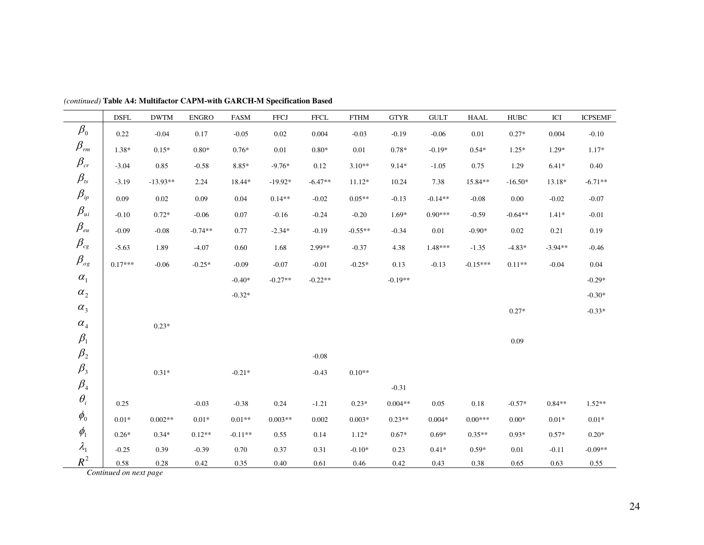|                                     | <b>DSFL</b>                    | <b>DWTM</b> | <b>ENGRO</b> | <b>FASM</b> | <b>FFCJ</b> | <b>FFCL</b> | <b>FTHM</b> | <b>GTYR</b> | <b>GULT</b> | <b>HAAL</b> | <b>HUBC</b> | ICI       | <b>ICPSEMF</b> |
|-------------------------------------|--------------------------------|-------------|--------------|-------------|-------------|-------------|-------------|-------------|-------------|-------------|-------------|-----------|----------------|
| $\beta_0$                           | 0.22                           | $-0.04$     | 0.17         | $-0.05$     | $0.02\,$    | 0.004       | $-0.03$     | $-0.19$     | $-0.06$     | $0.01\,$    | $0.27*$     | 0.004     | $-0.10$        |
| $\beta_{\scriptscriptstyle rm}$     | $1.38*$                        | $0.15*$     | $0.80*$      | $0.76*$     | 0.01        | $0.80*$     | 0.01        | $0.78*$     | $-0.19*$    | $0.54*$     | $1.25*$     | $1.29*$   | $1.17*$        |
| $\beta_{\rm \scriptscriptstyle cr}$ | $-3.04$                        | 0.85        | $-0.58$      | $8.85*$     | $-9.76*$    | 0.12        | $3.10**$    | $9.14*$     | $-1.05$     | 0.75        | 1.29        | $6.41*$   | 0.40           |
| $\beta_{\rm \scriptscriptstyle ts}$ | $-3.19$                        | $-13.93**$  | 2.24         | 18.44*      | $-19.92*$   | $-6.47**$   | $11.12*$    | 10.24       | 7.38        | 15.84**     | $-16.50*$   | 13.18*    | $-6.71**$      |
| $\beta_{\scriptscriptstyle ip}$     | 0.09                           | $0.02\,$    | 0.09         | 0.04        | $0.14**$    | $-0.02$     | $0.05**$    | $-0.13$     | $-0.14**$   | $-0.08$     | $0.00\,$    | $-0.02$   | $-0.07$        |
| $\beta_{\scriptscriptstyle{ui}}$    | $-0.10$                        | $0.72*$     | $-0.06$      | 0.07        | $-0.16$     | $-0.24$     | $-0.20$     | $1.69*$     | $0.90***$   | $-0.59$     | $-0.64**$   | $1.41*$   | $-0.01$        |
| $\beta_{\rm \scriptscriptstyle eu}$ | $-0.09$                        | $-0.08$     | $-0.74**$    | 0.77        | $-2.34*$    | $-0.19$     | $-0.55**$   | $-0.34$     | 0.01        | $-0.90*$    | 0.02        | 0.21      | 0.19           |
| $\beta_{\rm \scriptscriptstyle cg}$ | $-5.63$                        | 1.89        | $-4.07$      | 0.60        | 1.68        | 2.99**      | $-0.37$     | 4.38        | 1.48***     | $-1.35$     | $-4.83*$    | $-3.94**$ | $-0.46$        |
| $\beta_{\scriptscriptstyle{og}}$    | $0.17***$                      | $-0.06$     | $-0.25*$     | $-0.09$     | $-0.07$     | $-0.01$     | $-0.25*$    | 0.13        | $-0.13$     | $-0.15***$  | $0.11**$    | $-0.04$   | 0.04           |
| $\alpha_{\scriptscriptstyle 1}$     |                                |             |              | $-0.40*$    | $-0.27**$   | $-0.22**$   |             | $-0.19**$   |             |             |             |           | $-0.29*$       |
| $\alpha_{\scriptscriptstyle 2}$     |                                |             |              | $-0.32*$    |             |             |             |             |             |             |             |           | $-0.30*$       |
| $\alpha_{\scriptscriptstyle 3}$     |                                |             |              |             |             |             |             |             |             |             | $0.27*$     |           | $-0.33*$       |
| $\alpha_{\scriptscriptstyle 4}$     |                                | $0.23*$     |              |             |             |             |             |             |             |             |             |           |                |
| $\beta_1$                           |                                |             |              |             |             |             |             |             |             |             | 0.09        |           |                |
| $\beta_{\scriptscriptstyle 2}$      |                                |             |              |             |             | $-0.08$     |             |             |             |             |             |           |                |
| $\beta_{\scriptscriptstyle 3}$      |                                | $0.31\,^*$  |              | $-0.21*$    |             | $-0.43$     | $0.10**$    |             |             |             |             |           |                |
| $\beta_{\scriptscriptstyle 4}$      |                                |             |              |             |             |             |             | $-0.31$     |             |             |             |           |                |
| $\theta_i$                          | 0.25                           |             | $-0.03$      | $-0.38$     | 0.24        | $-1.21$     | $0.23*$     | $0.004**$   | 0.05        | $0.18\,$    | $-0.57*$    | $0.84**$  | $1.52**$       |
| $\phi_{0}$                          | $0.01*$                        | $0.002**$   | $0.01*$      | $0.01**$    | $0.003**$   | 0.002       | $0.003*$    | $0.23**$    | $0.004*$    | $0.00***$   | $0.00*$     | $0.01*$   | $0.01*$        |
| $\phi_{\scriptscriptstyle 1}$       | $0.26*$                        | $0.34*$     | $0.12**$     | $-0.11**$   | 0.55        | 0.14        | $1.12*$     | $0.67*$     | $0.69*$     | $0.35**$    | $0.93*$     | $0.57*$   | $0.20*$        |
| $\lambda_{1}$                       | $-0.25$                        | 0.39        | $-0.39$      | 0.70        | 0.37        | 0.31        | $-0.10*$    | 0.23        | $0.41*$     | $0.59*$     | $0.01\,$    | $-0.11$   | $-0.09**$      |
| $R^2$                               | 0.58<br>Continued on next page | $0.28\,$    | 0.42         | 0.35        | $0.40\,$    | 0.61        | 0.46        | 0.42        | 0.43        | $0.38\,$    | 0.65        | 0.63      | $0.55\,$       |

*(continued)* **Table A4: Multifactor CAPM-with GARCH-M Specification Based**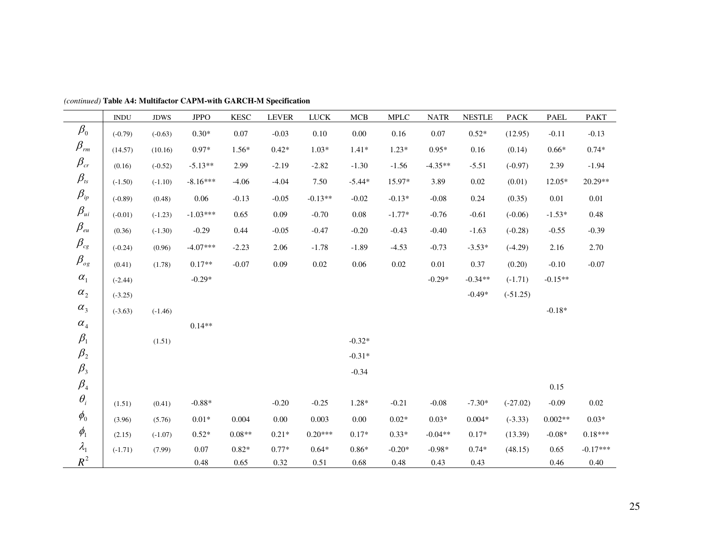|                                     | <b>INDU</b> | <b>JDWS</b> | <b>JPPO</b> | <b>KESC</b> | <b>LEVER</b> | <b>LUCK</b> | MCB      | <b>MPLC</b> | <b>NATR</b> | <b>NESTLE</b> | <b>PACK</b> | <b>PAEL</b> | <b>PAKT</b> |
|-------------------------------------|-------------|-------------|-------------|-------------|--------------|-------------|----------|-------------|-------------|---------------|-------------|-------------|-------------|
| $\beta_{\scriptscriptstyle 0}$      | $(-0.79)$   | $(-0.63)$   | $0.30*$     | 0.07        | $-0.03$      | 0.10        | 0.00     | 0.16        | 0.07        | $0.52*$       | (12.95)     | $-0.11$     | $-0.13$     |
| $\beta_{\scriptscriptstyle rm}$     | (14.57)     | (10.16)     | $0.97*$     | $1.56*$     | $0.42*$      | $1.03*$     | $1.41*$  | $1.23*$     | $0.95*$     | 0.16          | (0.14)      | $0.66*$     | $0.74*$     |
| $\beta_{\rm cr}$                    | (0.16)      | $(-0.52)$   | $-5.13**$   | 2.99        | $-2.19$      | $-2.82$     | $-1.30$  | $-1.56$     | $-4.35**$   | $-5.51$       | $(-0.97)$   | 2.39        | $-1.94$     |
| $\beta_{\rm \scriptscriptstyle ts}$ | $(-1.50)$   | $(-1.10)$   | $-8.16***$  | $-4.06$     | $-4.04$      | 7.50        | $-5.44*$ | 15.97*      | 3.89        | 0.02          | (0.01)      | $12.05*$    | 20.29**     |
| $\beta_{\scriptscriptstyle ip}$     | $(-0.89)$   | (0.48)      | 0.06        | $-0.13$     | $-0.05$      | $-0.13**$   | $-0.02$  | $-0.13*$    | $-0.08$     | 0.24          | (0.35)      | 0.01        | 0.01        |
| $\beta_{\scriptscriptstyle{ui}}$    | $(-0.01)$   | $(-1.23)$   | $-1.03***$  | 0.65        | 0.09         | $-0.70$     | $0.08\,$ | $-1.77*$    | $-0.76$     | $-0.61$       | $(-0.06)$   | $-1.53*$    | 0.48        |
| $\beta_{\scriptscriptstyle e u}$    | (0.36)      | $(-1.30)$   | $-0.29$     | 0.44        | $-0.05$      | $-0.47$     | $-0.20$  | $-0.43$     | $-0.40$     | $-1.63$       | $(-0.28)$   | $-0.55$     | $-0.39$     |
| $\beta_{\rm cg}$                    | $(-0.24)$   | (0.96)      | $-4.07***$  | $-2.23$     | 2.06         | $-1.78$     | $-1.89$  | $-4.53$     | $-0.73$     | $-3.53*$      | $(-4.29)$   | 2.16        | 2.70        |
| $\beta_{_{og}}$                     | (0.41)      | (1.78)      | $0.17**$    | $-0.07$     | 0.09         | 0.02        | 0.06     | 0.02        | 0.01        | 0.37          | (0.20)      | $-0.10$     | $-0.07$     |
| $\alpha_{\scriptscriptstyle 1}$     | $(-2.44)$   |             | $-0.29*$    |             |              |             |          |             | $-0.29*$    | $-0.34**$     | $(-1.71)$   | $-0.15**$   |             |
| $\alpha_{\scriptscriptstyle 2}$     | $(-3.25)$   |             |             |             |              |             |          |             |             | $-0.49*$      | $(-51.25)$  |             |             |
| $\alpha_{\scriptscriptstyle 3}$     | $(-3.63)$   | $(-1.46)$   |             |             |              |             |          |             |             |               |             | $-0.18*$    |             |
| $\alpha_{\scriptscriptstyle 4}$     |             |             | $0.14**$    |             |              |             |          |             |             |               |             |             |             |
| $\beta_{\scriptscriptstyle 1}$      |             | (1.51)      |             |             |              |             | $-0.32*$ |             |             |               |             |             |             |
| $\beta_{2}$                         |             |             |             |             |              |             | $-0.31*$ |             |             |               |             |             |             |
| $\beta_{3}$                         |             |             |             |             |              |             | $-0.34$  |             |             |               |             |             |             |
| $\beta_{\scriptscriptstyle 4}$      |             |             |             |             |              |             |          |             |             |               |             | 0.15        |             |
| $\theta_i$                          | (1.51)      | (0.41)      | $-0.88*$    |             | $-0.20$      | $-0.25$     | $1.28*$  | $-0.21$     | $-0.08$     | $-7.30*$      | $(-27.02)$  | $-0.09$     | 0.02        |
| $\phi_{0}$                          | (3.96)      | (5.76)      | $0.01*$     | 0.004       | $0.00\,$     | 0.003       | $0.00\,$ | $0.02*$     | $0.03*$     | $0.004*$      | $(-3.33)$   | $0.002**$   | $0.03*$     |
| $\phi_{1}$                          | (2.15)      | $(-1.07)$   | $0.52*$     | $0.08**$    | $0.21*$      | $0.20***$   | $0.17*$  | $0.33*$     | $-0.04**$   | $0.17*$       | (13.39)     | $-0.08*$    | $0.18***$   |
| $\lambda_{\rm 1}$                   | $(-1.71)$   | (7.99)      | 0.07        | $0.82*$     | $0.77*$      | $0.64*$     | $0.86*$  | $-0.20*$    | $-0.98*$    | $0.74*$       | (48.15)     | 0.65        | $-0.17***$  |
| $R^2$                               |             |             | 0.48        | 0.65        | 0.32         | 0.51        | 0.68     | 0.48        | 0.43        | 0.43          |             | 0.46        | 0.40        |

*(continued)* **Table A4: Multifactor CAPM-with GARCH-M Specification**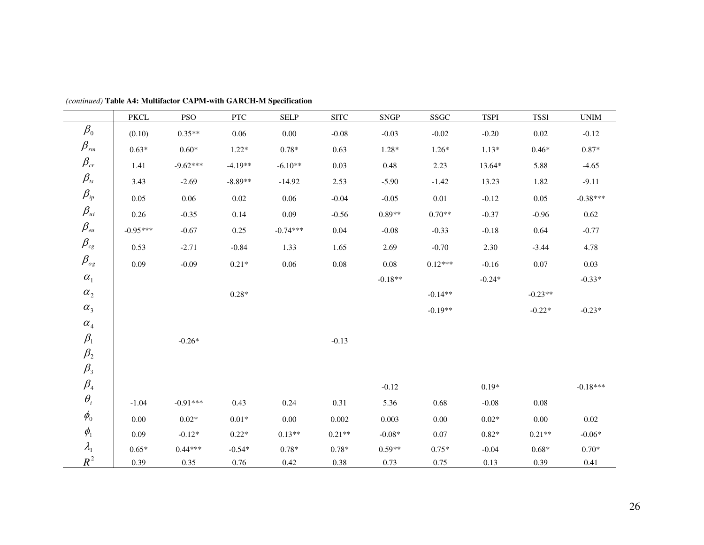|                                     | PKCL       | <b>PSO</b> | <b>PTC</b>  | <b>SELP</b> | <b>SITC</b> | <b>SNGP</b> | SSGC      | <b>TSPI</b> | <b>TSS1</b> | $\ensuremath{\text{UNIM}}$ |
|-------------------------------------|------------|------------|-------------|-------------|-------------|-------------|-----------|-------------|-------------|----------------------------|
| $\beta_{\scriptscriptstyle 0}$      | (0.10)     | $0.35**$   | 0.06        | $0.00\,$    | $-0.08$     | $-0.03$     | $-0.02$   | $-0.20$     | $0.02\,$    | $-0.12$                    |
| $\beta_{\scriptscriptstyle r m}$    | $0.63*$    | $0.60*$    | $1.22*$     | $0.78*$     | 0.63        | $1.28*$     | $1.26*$   | $1.13*$     | $0.46*$     | $0.87*$                    |
| $\beta_{\rm\scriptscriptstyle cr}$  | 1.41       | $-9.62***$ | $-4.19**$   | $-6.10**$   | 0.03        | 0.48        | 2.23      | 13.64*      | 5.88        | $-4.65$                    |
| $\beta_{\rm \scriptscriptstyle ts}$ | 3.43       | $-2.69$    | $-8.89**$   | $-14.92$    | 2.53        | $-5.90$     | $-1.42$   | 13.23       | 1.82        | $-9.11$                    |
| $\beta_{\scriptscriptstyle ip}$     | 0.05       | 0.06       | $0.02\,$    | 0.06        | $-0.04$     | $-0.05$     | 0.01      | $-0.12$     | 0.05        | $-0.38***$                 |
| $\beta_{\scriptscriptstyle{ui}}$    | 0.26       | $-0.35$    | 0.14        | 0.09        | $-0.56$     | $0.89**$    | $0.70**$  | $-0.37$     | $-0.96$     | 0.62                       |
| $\beta_{\rm \scriptscriptstyle eu}$ | $-0.95***$ | $-0.67$    | 0.25        | $-0.74***$  | $0.04\,$    | $-0.08$     | $-0.33$   | $-0.18$     | 0.64        | $-0.77$                    |
| $\beta_{\scriptscriptstyle cg}$     | 0.53       | $-2.71$    | $-0.84$     | 1.33        | 1.65        | 2.69        | $-0.70$   | 2.30        | $-3.44$     | 4.78                       |
| $\beta_{\scriptscriptstyle{og}}$    | 0.09       | $-0.09$    | $0.21*$     | 0.06        | 0.08        | 0.08        | $0.12***$ | $-0.16$     | 0.07        | 0.03                       |
| $\alpha_{\scriptscriptstyle 1}$     |            |            |             |             |             | $-0.18**$   |           | $-0.24*$    |             | $-0.33*$                   |
| $\alpha_{\scriptscriptstyle 2}$     |            |            | $0.28*$     |             |             |             | $-0.14**$ |             | $-0.23**$   |                            |
| $\alpha_{\scriptscriptstyle 3}$     |            |            |             |             |             |             | $-0.19**$ |             | $-0.22*$    | $-0.23*$                   |
| $\alpha_{\scriptscriptstyle 4}$     |            |            |             |             |             |             |           |             |             |                            |
| $\beta_{\rm l}$                     |            | $-0.26*$   |             |             | $-0.13$     |             |           |             |             |                            |
| $\beta_{\scriptscriptstyle 2}$      |            |            |             |             |             |             |           |             |             |                            |
| $\beta_{\scriptscriptstyle 3}$      |            |            |             |             |             |             |           |             |             |                            |
| $\beta_{\scriptscriptstyle 4}$      |            |            |             |             |             | $-0.12$     |           | $0.19*$     |             | $-0.18***$                 |
| $\theta_i$                          | $-1.04$    | $-0.91***$ | 0.43        | 0.24        | 0.31        | 5.36        | 0.68      | $-0.08$     | $0.08\,$    |                            |
| $\phi_{0}$                          | $0.00\,$   | $0.02*$    | $0.01\,{*}$ | $0.00\,$    | 0.002       | 0.003       | $0.00\,$  | $0.02*$     | $0.00\,$    | 0.02                       |
| $\phi_{\scriptscriptstyle 1}$       | 0.09       | $-0.12*$   | $0.22*$     | $0.13**$    | $0.21**$    | $-0.08*$    | $0.07\,$  | $0.82*$     | $0.21**$    | $-0.06*$                   |
| $\lambda_{\rm l}$                   | $0.65*$    | $0.44***$  | $-0.54*$    | $0.78*$     | $0.78*$     | $0.59**$    | $0.75*$   | $-0.04$     | $0.68*$     | $0.70*$                    |
| $R^2$                               | 0.39       | 0.35       | 0.76        | 0.42        | 0.38        | 0.73        | 0.75      | 0.13        | 0.39        | 0.41                       |

 *(continued)* **Table A4: Multifactor CAPM-with GARCH-M Specification**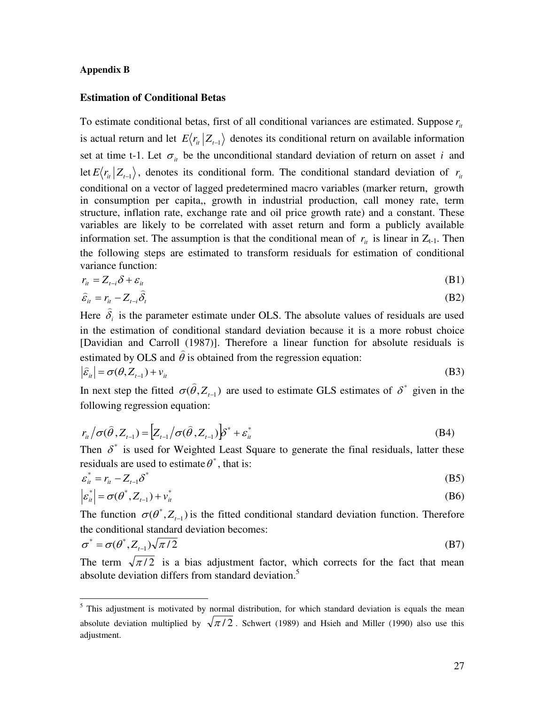#### **Appendix B**

# **Estimation of Conditional Betas**

To estimate conditional betas, first of all conditional variances are estimated. Suppose  $r_{i}$ is actual return and let  $E\langle r_i | Z_{t-1} \rangle$  denotes its conditional return on available information set at time t-1. Let  $\sigma_{it}$  be the unconditional standard deviation of return on asset *i* and let  $E\langle r_i | Z_{t-1} \rangle$ , denotes its conditional form. The conditional standard deviation of  $r_i$ conditional on a vector of lagged predetermined macro variables (marker return, growth in consumption per capita,, growth in industrial production, call money rate, term structure, inflation rate, exchange rate and oil price growth rate) and a constant. These variables are likely to be correlated with asset return and form a publicly available information set. The assumption is that the conditional mean of  $r_{it}$  is linear in  $Z_{t-1}$ . Then the following steps are estimated to transform residuals for estimation of conditional variance function:

$$
r_{it} = Z_{t-i} \delta + \varepsilon_{it} \tag{B1}
$$

$$
\hat{\varepsilon}_{it} = r_{it} - Z_{t-i} \hat{\delta}_t
$$
\n(B2)

Here  $\delta_i$ is the parameter estimate under OLS. The absolute values of residuals are used in the estimation of conditional standard deviation because it is a more robust choice [Davidian and Carroll (1987)]. Therefore a linear function for absolute residuals is estimated by OLS and  $\theta$  $\overline{a}$ is obtained from the regression equation:  $\frac{1}{2}$ 

$$
\left|\hat{\varepsilon}_{it}\right| = \sigma(\theta, Z_{t-1}) + \nu_{it}
$$
\n(B3)

In next step the fitted  $\sigma(\theta, Z_{t-1})$ are used to estimate GLS estimates of  $\delta^*$  given in the following regression equation:

$$
r_{it} / \sigma(\hat{\theta}, Z_{t-1}) = \left[ Z_{t-1} / \sigma(\hat{\theta}, Z_{t-1}) \right] \delta^* + \varepsilon_{it}^*
$$
\n(B4)

Then  $\delta^*$  is used for Weighted Least Square to generate the final residuals, latter these residuals are used to estimate  $\theta^*$ , that is:

$$
\varepsilon_{it}^* = r_{it} - Z_{t-1} \delta^*
$$
\n(B5)\n
$$
|\varepsilon^*| = \sigma(\theta^* \mid Z) + v^*
$$

$$
\left| \varepsilon_{it}^* \right| = \sigma(\theta^*, Z_{t-1}) + v_{it}^* \tag{B6}
$$

The function  $\sigma(\theta^*, Z_{t-1})$  is the fitted conditional standard deviation function. Therefore the conditional standard deviation becomes:

$$
\sigma^* = \sigma(\theta^*, Z_{t-1})\sqrt{\pi/2} \tag{B7}
$$

The term  $\sqrt{\pi/2}$  is a bias adjustment factor, which corrects for the fact that mean absolute deviation differs from standard deviation.<sup>5</sup>

<sup>&</sup>lt;sup>5</sup> This adjustment is motivated by normal distribution, for which standard deviation is equals the mean absolute deviation multiplied by  $\sqrt{\pi/2}$ . Schwert (1989) and Hsieh and Miller (1990) also use this adjustment.